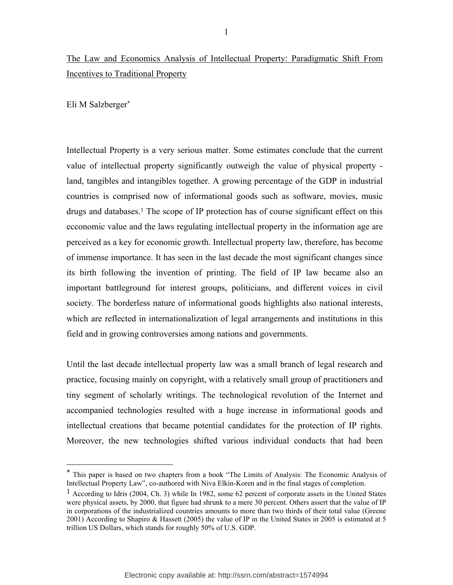# The Law and Economics Analysis of Intellectual Property: Paradigmatic Shift From Incentives to Traditional Property

### Eli M Salzberger\*

 $\overline{a}$ 

Intellectual Property is a very serious matter. Some estimates conclude that the current value of intellectual property significantly outweigh the value of physical property land, tangibles and intangibles together. A growing percentage of the GDP in industrial countries is comprised now of informational goods such as software, movies, music drugs and databases.1 The scope of IP protection has of course significant effect on this ecconomic value and the laws regulating intellectual property in the information age are perceived as a key for economic growth. Intellectual property law, therefore, has become of immense importance. It has seen in the last decade the most significant changes since its birth following the invention of printing. The field of IP law became also an important battleground for interest groups, politicians, and different voices in civil society. The borderless nature of informational goods highlights also national interests, which are reflected in internationalization of legal arrangements and institutions in this field and in growing controversies among nations and governments.

Until the last decade intellectual property law was a small branch of legal research and practice, focusing mainly on copyright, with a relatively small group of practitioners and tiny segment of scholarly writings. The technological revolution of the Internet and accompanied technologies resulted with a huge increase in informational goods and intellectual creations that became potential candidates for the protection of IP rights. Moreover, the new technologies shifted various individual conducts that had been

<sup>\*</sup> This paper is based on two chapters from a book "The Limits of Analysis: The Economic Analysis of Intellectual Property Law", co-authored with Niva Elkin-Koren and in the final stages of completion.

<sup>&</sup>lt;sup>1</sup> According to Idris (2004, Ch. 3) while In 1982, some 62 percent of corporate assets in the United States were physical assets, by 2000, that figure had shrunk to a mere 30 percent. Others assert that the value of IP in corporations of the industrialized countries amounts to more than two thirds of their total value (Greene 2001) According to Shapiro & Hassett (2005) the value of IP in the United States in 2005 is estimated at 5 trillion US Dollars, which stands for roughly 50% of U.S. GDP.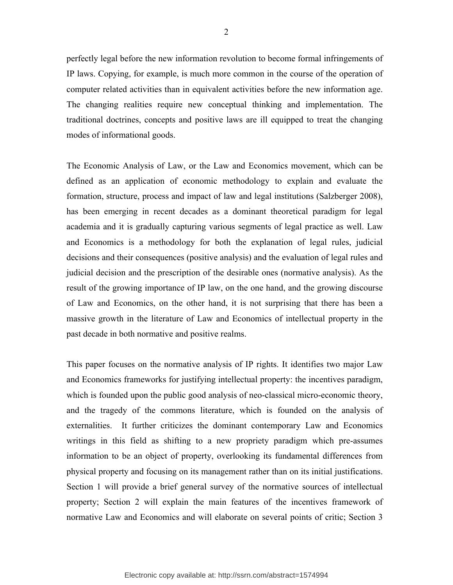perfectly legal before the new information revolution to become formal infringements of IP laws. Copying, for example, is much more common in the course of the operation of computer related activities than in equivalent activities before the new information age. The changing realities require new conceptual thinking and implementation. The traditional doctrines, concepts and positive laws are ill equipped to treat the changing modes of informational goods.

The Economic Analysis of Law, or the Law and Economics movement, which can be defined as an application of economic methodology to explain and evaluate the formation, structure, process and impact of law and legal institutions (Salzberger 2008), has been emerging in recent decades as a dominant theoretical paradigm for legal academia and it is gradually capturing various segments of legal practice as well. Law and Economics is a methodology for both the explanation of legal rules, judicial decisions and their consequences (positive analysis) and the evaluation of legal rules and judicial decision and the prescription of the desirable ones (normative analysis). As the result of the growing importance of IP law, on the one hand, and the growing discourse of Law and Economics, on the other hand, it is not surprising that there has been a massive growth in the literature of Law and Economics of intellectual property in the past decade in both normative and positive realms.

This paper focuses on the normative analysis of IP rights. It identifies two major Law and Economics frameworks for justifying intellectual property: the incentives paradigm, which is founded upon the public good analysis of neo-classical micro-economic theory, and the tragedy of the commons literature, which is founded on the analysis of externalities. It further criticizes the dominant contemporary Law and Economics writings in this field as shifting to a new propriety paradigm which pre-assumes information to be an object of property, overlooking its fundamental differences from physical property and focusing on its management rather than on its initial justifications. Section 1 will provide a brief general survey of the normative sources of intellectual property; Section 2 will explain the main features of the incentives framework of normative Law and Economics and will elaborate on several points of critic; Section 3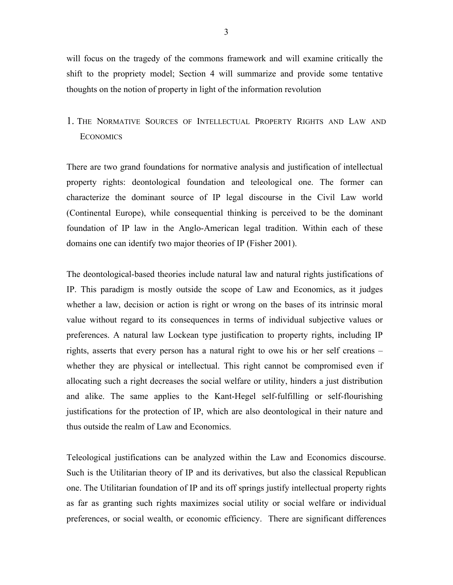will focus on the tragedy of the commons framework and will examine critically the shift to the propriety model; Section 4 will summarize and provide some tentative thoughts on the notion of property in light of the information revolution

# 1. THE NORMATIVE SOURCES OF INTELLECTUAL PROPERTY RIGHTS AND LAW AND **ECONOMICS**

There are two grand foundations for normative analysis and justification of intellectual property rights: deontological foundation and teleological one. The former can characterize the dominant source of IP legal discourse in the Civil Law world (Continental Europe), while consequential thinking is perceived to be the dominant foundation of IP law in the Anglo-American legal tradition. Within each of these domains one can identify two major theories of IP (Fisher 2001).

The deontological-based theories include natural law and natural rights justifications of IP. This paradigm is mostly outside the scope of Law and Economics, as it judges whether a law, decision or action is right or wrong on the bases of its intrinsic moral value without regard to its consequences in terms of individual subjective values or preferences. A natural law Lockean type justification to property rights, including IP rights, asserts that every person has a natural right to owe his or her self creations – whether they are physical or intellectual. This right cannot be compromised even if allocating such a right decreases the social welfare or utility, hinders a just distribution and alike. The same applies to the Kant-Hegel self-fulfilling or self-flourishing justifications for the protection of IP, which are also deontological in their nature and thus outside the realm of Law and Economics.

Teleological justifications can be analyzed within the Law and Economics discourse. Such is the Utilitarian theory of IP and its derivatives, but also the classical Republican one. The Utilitarian foundation of IP and its off springs justify intellectual property rights as far as granting such rights maximizes social utility or social welfare or individual preferences, or social wealth, or economic efficiency. There are significant differences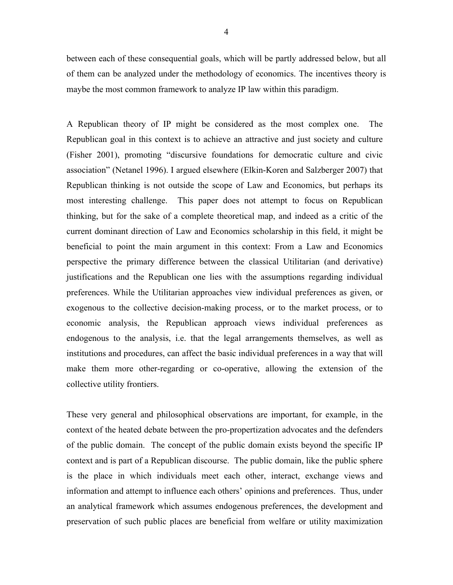between each of these consequential goals, which will be partly addressed below, but all of them can be analyzed under the methodology of economics. The incentives theory is maybe the most common framework to analyze IP law within this paradigm.

A Republican theory of IP might be considered as the most complex one. The Republican goal in this context is to achieve an attractive and just society and culture (Fisher 2001), promoting "discursive foundations for democratic culture and civic association" (Netanel 1996). I argued elsewhere (Elkin-Koren and Salzberger 2007) that Republican thinking is not outside the scope of Law and Economics, but perhaps its most interesting challenge. This paper does not attempt to focus on Republican thinking, but for the sake of a complete theoretical map, and indeed as a critic of the current dominant direction of Law and Economics scholarship in this field, it might be beneficial to point the main argument in this context: From a Law and Economics perspective the primary difference between the classical Utilitarian (and derivative) justifications and the Republican one lies with the assumptions regarding individual preferences. While the Utilitarian approaches view individual preferences as given, or exogenous to the collective decision-making process, or to the market process, or to economic analysis, the Republican approach views individual preferences as endogenous to the analysis, i.e. that the legal arrangements themselves, as well as institutions and procedures, can affect the basic individual preferences in a way that will make them more other-regarding or co-operative, allowing the extension of the collective utility frontiers.

These very general and philosophical observations are important, for example, in the context of the heated debate between the pro-propertization advocates and the defenders of the public domain. The concept of the public domain exists beyond the specific IP context and is part of a Republican discourse. The public domain, like the public sphere is the place in which individuals meet each other, interact, exchange views and information and attempt to influence each others' opinions and preferences. Thus, under an analytical framework which assumes endogenous preferences, the development and preservation of such public places are beneficial from welfare or utility maximization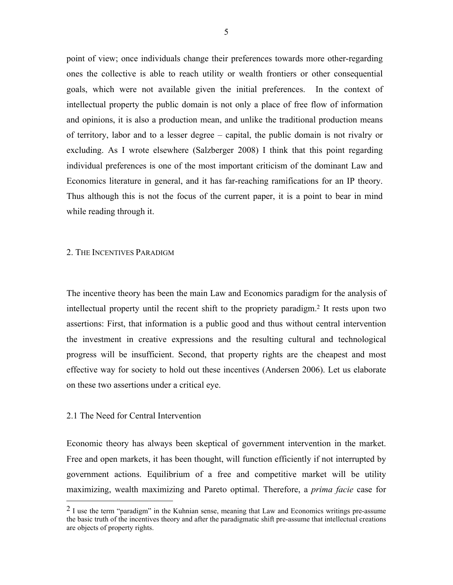point of view; once individuals change their preferences towards more other-regarding ones the collective is able to reach utility or wealth frontiers or other consequential goals, which were not available given the initial preferences. In the context of intellectual property the public domain is not only a place of free flow of information and opinions, it is also a production mean, and unlike the traditional production means of territory, labor and to a lesser degree – capital, the public domain is not rivalry or excluding. As I wrote elsewhere (Salzberger 2008) I think that this point regarding individual preferences is one of the most important criticism of the dominant Law and Economics literature in general, and it has far-reaching ramifications for an IP theory. Thus although this is not the focus of the current paper, it is a point to bear in mind while reading through it.

## 2. THE INCENTIVES PARADIGM

The incentive theory has been the main Law and Economics paradigm for the analysis of intellectual property until the recent shift to the propriety paradigm.2 It rests upon two assertions: First, that information is a public good and thus without central intervention the investment in creative expressions and the resulting cultural and technological progress will be insufficient. Second, that property rights are the cheapest and most effective way for society to hold out these incentives (Andersen 2006). Let us elaborate on these two assertions under a critical eye.

### 2.1 The Need for Central Intervention

 $\overline{a}$ 

Economic theory has always been skeptical of government intervention in the market. Free and open markets, it has been thought, will function efficiently if not interrupted by government actions. Equilibrium of a free and competitive market will be utility maximizing, wealth maximizing and Pareto optimal. Therefore, a *prima facie* case for

 $2$  I use the term "paradigm" in the Kuhnian sense, meaning that Law and Economics writings pre-assume the basic truth of the incentives theory and after the paradigmatic shift pre-assume that intellectual creations are objects of property rights.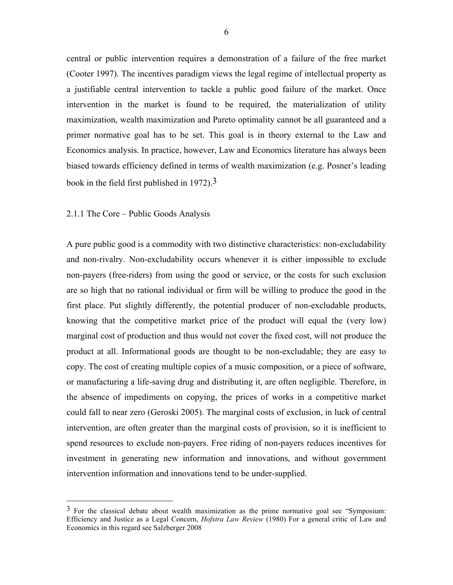central or public intervention requires a demonstration of a failure of the free market (Cooter 1997). The incentives paradigm views the legal regime of intellectual property as a justifiable central intervention to tackle a public good failure of the market. Once intervention in the market is found to be required, the materialization of utility maximization, wealth maximization and Pareto optimality cannot be all guaranteed and a primer normative goal has to be set. This goal is in theory external to the Law and Economics analysis. In practice, however, Law and Economics literature has always been biased towards efficiency defined in terms of wealth maximization (e.g. Posner's leading book in the field first published in 1972).3

### 2.1.1 The Core – Public Goods Analysis

 $\overline{a}$ 

A pure public good is a commodity with two distinctive characteristics: non-excludability and non-rivalry. Non-excludability occurs whenever it is either impossible to exclude non-payers (free-riders) from using the good or service, or the costs for such exclusion are so high that no rational individual or firm will be willing to produce the good in the first place. Put slightly differently, the potential producer of non-excludable products, knowing that the competitive market price of the product will equal the (very low) marginal cost of production and thus would not cover the fixed cost, will not produce the product at all. Informational goods are thought to be non-excludable; they are easy to copy. The cost of creating multiple copies of a music composition, or a piece of software, or manufacturing a life-saving drug and distributing it, are often negligible. Therefore, in the absence of impediments on copying, the prices of works in a competitive market could fall to near zero (Geroski 2005). The marginal costs of exclusion, in luck of central intervention, are often greater than the marginal costs of provision, so it is inefficient to spend resources to exclude non-payers. Free riding of non-payers reduces incentives for investment in generating new information and innovations, and without government intervention information and innovations tend to be under-supplied.

 $3$  For the classical debate about wealth maximization as the prime normative goal see "Symposium: Efficiency and Justice as a Legal Concern, *Hofstra Law Review* (1980) For a general critic of Law and Economics in this regard see Salzberger 2008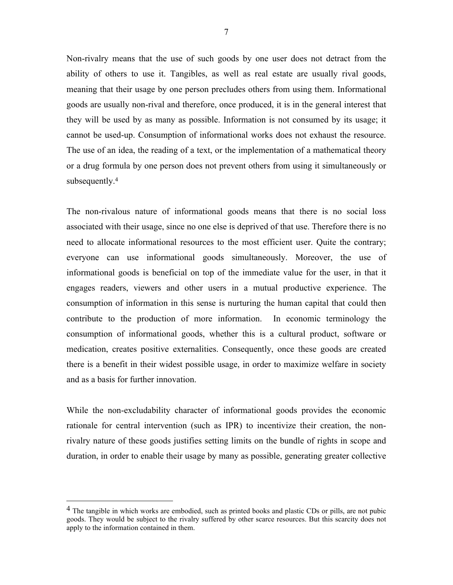Non-rivalry means that the use of such goods by one user does not detract from the ability of others to use it. Tangibles, as well as real estate are usually rival goods, meaning that their usage by one person precludes others from using them. Informational goods are usually non-rival and therefore, once produced, it is in the general interest that they will be used by as many as possible. Information is not consumed by its usage; it cannot be used-up. Consumption of informational works does not exhaust the resource. The use of an idea, the reading of a text, or the implementation of a mathematical theory or a drug formula by one person does not prevent others from using it simultaneously or subsequently.4

The non-rivalous nature of informational goods means that there is no social loss associated with their usage, since no one else is deprived of that use. Therefore there is no need to allocate informational resources to the most efficient user. Quite the contrary; everyone can use informational goods simultaneously. Moreover, the use of informational goods is beneficial on top of the immediate value for the user, in that it engages readers, viewers and other users in a mutual productive experience. The consumption of information in this sense is nurturing the human capital that could then contribute to the production of more information. In economic terminology the consumption of informational goods, whether this is a cultural product, software or medication, creates positive externalities. Consequently, once these goods are created there is a benefit in their widest possible usage, in order to maximize welfare in society and as a basis for further innovation.

While the non-excludability character of informational goods provides the economic rationale for central intervention (such as IPR) to incentivize their creation, the nonrivalry nature of these goods justifies setting limits on the bundle of rights in scope and duration, in order to enable their usage by many as possible, generating greater collective

 $<sup>4</sup>$  The tangible in which works are embodied, such as printed books and plastic CDs or pills, are not pubic</sup> goods. They would be subject to the rivalry suffered by other scarce resources. But this scarcity does not apply to the information contained in them.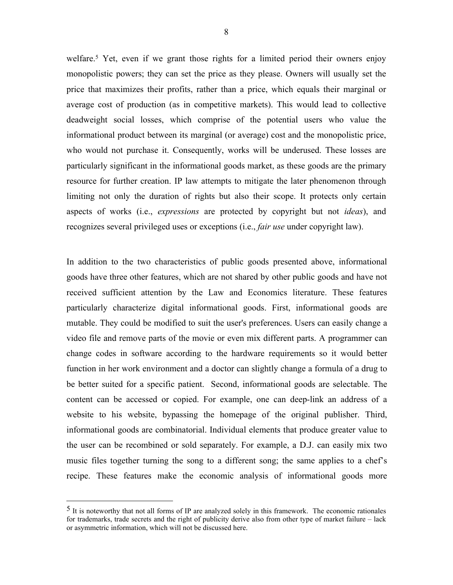welfare.5 Yet, even if we grant those rights for a limited period their owners enjoy monopolistic powers; they can set the price as they please. Owners will usually set the price that maximizes their profits, rather than a price, which equals their marginal or average cost of production (as in competitive markets). This would lead to collective deadweight social losses, which comprise of the potential users who value the informational product between its marginal (or average) cost and the monopolistic price, who would not purchase it. Consequently, works will be underused. These losses are particularly significant in the informational goods market, as these goods are the primary resource for further creation. IP law attempts to mitigate the later phenomenon through limiting not only the duration of rights but also their scope. It protects only certain aspects of works (i.e., *expressions* are protected by copyright but not *ideas*), and recognizes several privileged uses or exceptions (i.e., *fair use* under copyright law).

In addition to the two characteristics of public goods presented above, informational goods have three other features, which are not shared by other public goods and have not received sufficient attention by the Law and Economics literature. These features particularly characterize digital informational goods. First, informational goods are mutable. They could be modified to suit the user's preferences. Users can easily change a video file and remove parts of the movie or even mix different parts. A programmer can change codes in software according to the hardware requirements so it would better function in her work environment and a doctor can slightly change a formula of a drug to be better suited for a specific patient. Second, informational goods are selectable. The content can be accessed or copied. For example, one can deep-link an address of a website to his website, bypassing the homepage of the original publisher. Third, informational goods are combinatorial. Individual elements that produce greater value to the user can be recombined or sold separately. For example, a D.J. can easily mix two music files together turning the song to a different song; the same applies to a chef's recipe. These features make the economic analysis of informational goods more

 $<sup>5</sup>$  It is noteworthy that not all forms of IP are analyzed solely in this framework. The economic rationales</sup> for trademarks, trade secrets and the right of publicity derive also from other type of market failure – lack or asymmetric information, which will not be discussed here.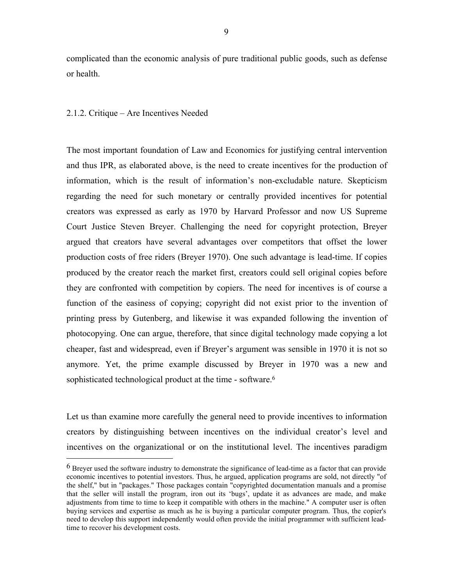complicated than the economic analysis of pure traditional public goods, such as defense or health.

### 2.1.2. Critique – Are Incentives Needed

 $\overline{a}$ 

The most important foundation of Law and Economics for justifying central intervention and thus IPR, as elaborated above, is the need to create incentives for the production of information, which is the result of information's non-excludable nature. Skepticism regarding the need for such monetary or centrally provided incentives for potential creators was expressed as early as 1970 by Harvard Professor and now US Supreme Court Justice Steven Breyer. Challenging the need for copyright protection, Breyer argued that creators have several advantages over competitors that offset the lower production costs of free riders (Breyer 1970). One such advantage is lead-time. If copies produced by the creator reach the market first, creators could sell original copies before they are confronted with competition by copiers. The need for incentives is of course a function of the easiness of copying; copyright did not exist prior to the invention of printing press by Gutenberg, and likewise it was expanded following the invention of photocopying. One can argue, therefore, that since digital technology made copying a lot cheaper, fast and widespread, even if Breyer's argument was sensible in 1970 it is not so anymore. Yet, the prime example discussed by Breyer in 1970 was a new and sophisticated technological product at the time - software.<sup>6</sup>

Let us than examine more carefully the general need to provide incentives to information creators by distinguishing between incentives on the individual creator's level and incentives on the organizational or on the institutional level. The incentives paradigm

<sup>&</sup>lt;sup>6</sup> Brever used the software industry to demonstrate the significance of lead-time as a factor that can provide economic incentives to potential investors. Thus, he argued, application programs are sold, not directly "of the shelf," but in "packages." Those packages contain "copyrighted documentation manuals and a promise that the seller will install the program, iron out its 'bugs', update it as advances are made, and make adjustments from time to time to keep it compatible with others in the machine." A computer user is often buying services and expertise as much as he is buying a particular computer program. Thus, the copier's need to develop this support independently would often provide the initial programmer with sufficient leadtime to recover his development costs.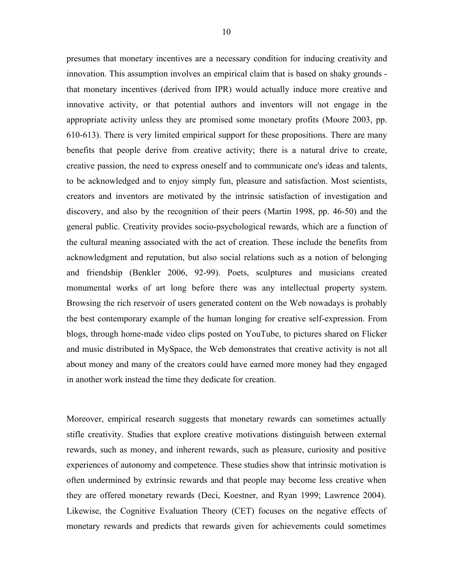presumes that monetary incentives are a necessary condition for inducing creativity and innovation. This assumption involves an empirical claim that is based on shaky grounds that monetary incentives (derived from IPR) would actually induce more creative and innovative activity, or that potential authors and inventors will not engage in the appropriate activity unless they are promised some monetary profits (Moore 2003, pp. 610-613). There is very limited empirical support for these propositions. There are many benefits that people derive from creative activity; there is a natural drive to create, creative passion, the need to express oneself and to communicate one's ideas and talents, to be acknowledged and to enjoy simply fun, pleasure and satisfaction. Most scientists, creators and inventors are motivated by the intrinsic satisfaction of investigation and discovery, and also by the recognition of their peers (Martin 1998, pp. 46-50) and the general public. Creativity provides socio-psychological rewards, which are a function of the cultural meaning associated with the act of creation. These include the benefits from acknowledgment and reputation, but also social relations such as a notion of belonging and friendship (Benkler 2006, 92-99). Poets, sculptures and musicians created monumental works of art long before there was any intellectual property system. Browsing the rich reservoir of users generated content on the Web nowadays is probably the best contemporary example of the human longing for creative self-expression. From blogs, through home-made video clips posted on YouTube, to pictures shared on Flicker and music distributed in MySpace, the Web demonstrates that creative activity is not all about money and many of the creators could have earned more money had they engaged in another work instead the time they dedicate for creation.

Moreover, empirical research suggests that monetary rewards can sometimes actually stifle creativity. Studies that explore creative motivations distinguish between external rewards, such as money, and inherent rewards, such as pleasure, curiosity and positive experiences of autonomy and competence. These studies show that intrinsic motivation is often undermined by extrinsic rewards and that people may become less creative when they are offered monetary rewards (Deci, Koestner, and Ryan 1999; Lawrence 2004). Likewise, the Cognitive Evaluation Theory (CET) focuses on the negative effects of monetary rewards and predicts that rewards given for achievements could sometimes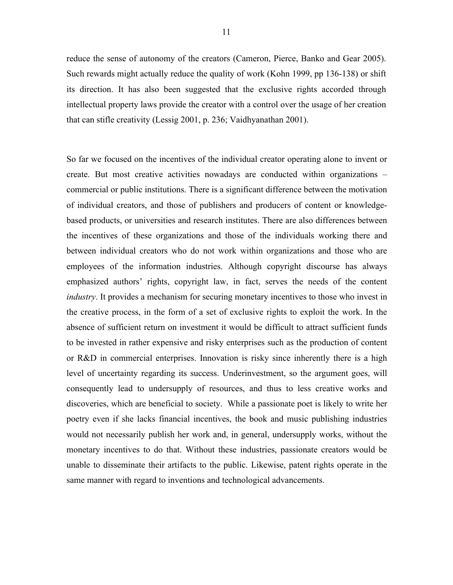reduce the sense of autonomy of the creators (Cameron, Pierce, Banko and Gear 2005). Such rewards might actually reduce the quality of work (Kohn 1999, pp 136-138) or shift its direction. It has also been suggested that the exclusive rights accorded through intellectual property laws provide the creator with a control over the usage of her creation that can stifle creativity (Lessig 2001, p. 236; Vaidhyanathan 2001).

So far we focused on the incentives of the individual creator operating alone to invent or create. But most creative activities nowadays are conducted within organizations – commercial or public institutions. There is a significant difference between the motivation of individual creators, and those of publishers and producers of content or knowledgebased products, or universities and research institutes. There are also differences between the incentives of these organizations and those of the individuals working there and between individual creators who do not work within organizations and those who are employees of the information industries. Although copyright discourse has always emphasized authors' rights, copyright law, in fact, serves the needs of the content *industry*. It provides a mechanism for securing monetary incentives to those who invest in the creative process, in the form of a set of exclusive rights to exploit the work. In the absence of sufficient return on investment it would be difficult to attract sufficient funds to be invested in rather expensive and risky enterprises such as the production of content or R&D in commercial enterprises. Innovation is risky since inherently there is a high level of uncertainty regarding its success. Underinvestment, so the argument goes, will consequently lead to undersupply of resources, and thus to less creative works and discoveries, which are beneficial to society. While a passionate poet is likely to write her poetry even if she lacks financial incentives, the book and music publishing industries would not necessarily publish her work and, in general, undersupply works, without the monetary incentives to do that. Without these industries, passionate creators would be unable to disseminate their artifacts to the public. Likewise, patent rights operate in the same manner with regard to inventions and technological advancements.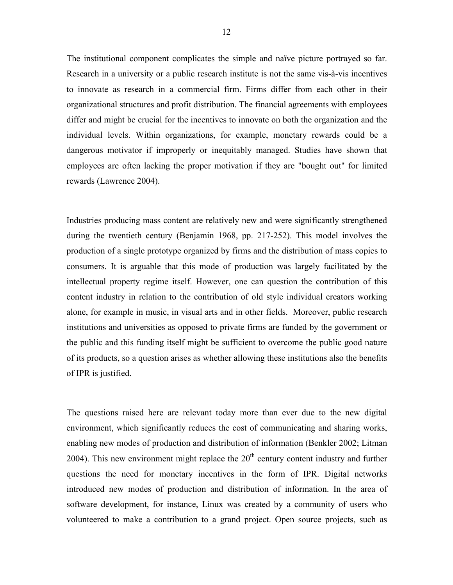The institutional component complicates the simple and naïve picture portrayed so far. Research in a university or a public research institute is not the same vis-à-vis incentives to innovate as research in a commercial firm. Firms differ from each other in their organizational structures and profit distribution. The financial agreements with employees differ and might be crucial for the incentives to innovate on both the organization and the individual levels. Within organizations, for example, monetary rewards could be a dangerous motivator if improperly or inequitably managed. Studies have shown that employees are often lacking the proper motivation if they are "bought out" for limited rewards (Lawrence 2004).

Industries producing mass content are relatively new and were significantly strengthened during the twentieth century (Benjamin 1968, pp. 217-252). This model involves the production of a single prototype organized by firms and the distribution of mass copies to consumers. It is arguable that this mode of production was largely facilitated by the intellectual property regime itself. However, one can question the contribution of this content industry in relation to the contribution of old style individual creators working alone, for example in music, in visual arts and in other fields. Moreover, public research institutions and universities as opposed to private firms are funded by the government or the public and this funding itself might be sufficient to overcome the public good nature of its products, so a question arises as whether allowing these institutions also the benefits of IPR is justified.

The questions raised here are relevant today more than ever due to the new digital environment, which significantly reduces the cost of communicating and sharing works, enabling new modes of production and distribution of information (Benkler 2002; Litman 2004). This new environment might replace the  $20<sup>th</sup>$  century content industry and further questions the need for monetary incentives in the form of IPR. Digital networks introduced new modes of production and distribution of information. In the area of software development, for instance, Linux was created by a community of users who volunteered to make a contribution to a grand project. Open source projects, such as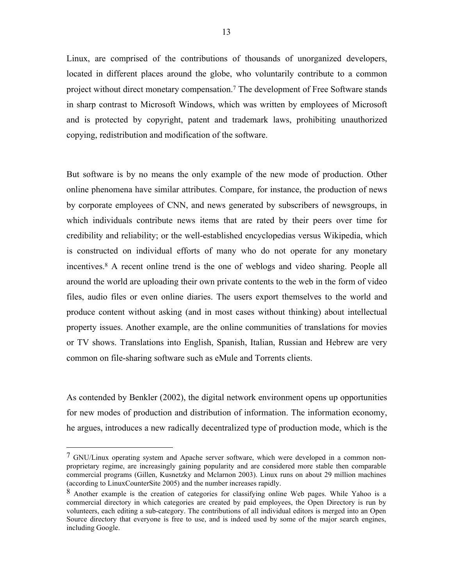Linux, are comprised of the contributions of thousands of unorganized developers, located in different places around the globe, who voluntarily contribute to a common project without direct monetary compensation.7 The development of Free Software stands in sharp contrast to Microsoft Windows, which was written by employees of Microsoft and is protected by copyright, patent and trademark laws, prohibiting unauthorized copying, redistribution and modification of the software.

But software is by no means the only example of the new mode of production. Other online phenomena have similar attributes. Compare, for instance, the production of news by corporate employees of CNN, and news generated by subscribers of newsgroups, in which individuals contribute news items that are rated by their peers over time for credibility and reliability; or the well-established encyclopedias versus Wikipedia, which is constructed on individual efforts of many who do not operate for any monetary incentives.8 A recent online trend is the one of weblogs and video sharing. People all around the world are uploading their own private contents to the web in the form of video files, audio files or even online diaries. The users export themselves to the world and produce content without asking (and in most cases without thinking) about intellectual property issues. Another example, are the online communities of translations for movies or TV shows. Translations into English, Spanish, Italian, Russian and Hebrew are very common on file-sharing software such as eMule and Torrents clients.

As contended by Benkler (2002), the digital network environment opens up opportunities for new modes of production and distribution of information. The information economy, he argues, introduces a new radically decentralized type of production mode, which is the

<sup>7</sup> GNU/Linux operating system and Apache server software, which were developed in a common nonproprietary regime, are increasingly gaining popularity and are considered more stable then comparable commercial programs (Gillen, Kusnetzky and Mclarnon 2003). Linux runs on about 29 million machines (according to LinuxCounterSite 2005) and the number increases rapidly.

<sup>8</sup> Another example is the creation of categories for classifying online Web pages. While Yahoo is a commercial directory in which categories are created by paid employees, the Open Directory is run by volunteers, each editing a sub-category. The contributions of all individual editors is merged into an Open Source directory that everyone is free to use, and is indeed used by some of the major search engines, including Google.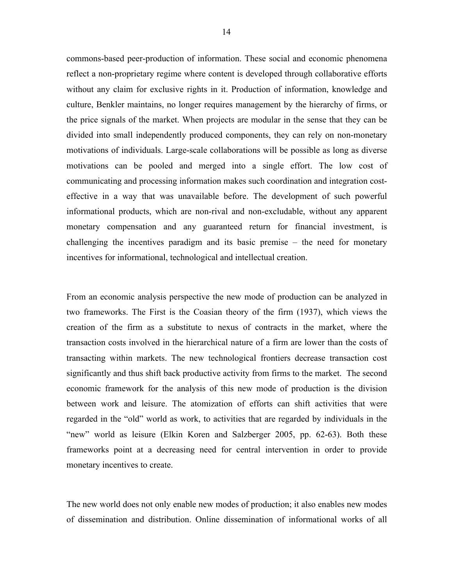commons-based peer-production of information. These social and economic phenomena reflect a non-proprietary regime where content is developed through collaborative efforts without any claim for exclusive rights in it. Production of information, knowledge and culture, Benkler maintains, no longer requires management by the hierarchy of firms, or the price signals of the market. When projects are modular in the sense that they can be divided into small independently produced components, they can rely on non-monetary motivations of individuals. Large-scale collaborations will be possible as long as diverse motivations can be pooled and merged into a single effort. The low cost of communicating and processing information makes such coordination and integration costeffective in a way that was unavailable before. The development of such powerful informational products, which are non-rival and non-excludable, without any apparent monetary compensation and any guaranteed return for financial investment, is challenging the incentives paradigm and its basic premise – the need for monetary incentives for informational, technological and intellectual creation.

From an economic analysis perspective the new mode of production can be analyzed in two frameworks. The First is the Coasian theory of the firm (1937), which views the creation of the firm as a substitute to nexus of contracts in the market, where the transaction costs involved in the hierarchical nature of a firm are lower than the costs of transacting within markets. The new technological frontiers decrease transaction cost significantly and thus shift back productive activity from firms to the market. The second economic framework for the analysis of this new mode of production is the division between work and leisure. The atomization of efforts can shift activities that were regarded in the "old" world as work, to activities that are regarded by individuals in the "new" world as leisure (Elkin Koren and Salzberger 2005, pp. 62-63). Both these frameworks point at a decreasing need for central intervention in order to provide monetary incentives to create.

The new world does not only enable new modes of production; it also enables new modes of dissemination and distribution. Online dissemination of informational works of all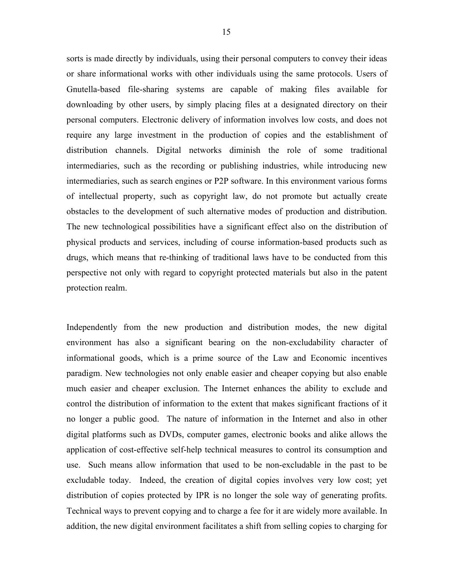sorts is made directly by individuals, using their personal computers to convey their ideas or share informational works with other individuals using the same protocols. Users of Gnutella-based file-sharing systems are capable of making files available for downloading by other users, by simply placing files at a designated directory on their personal computers. Electronic delivery of information involves low costs, and does not require any large investment in the production of copies and the establishment of distribution channels. Digital networks diminish the role of some traditional intermediaries, such as the recording or publishing industries, while introducing new intermediaries, such as search engines or P2P software. In this environment various forms of intellectual property, such as copyright law, do not promote but actually create obstacles to the development of such alternative modes of production and distribution. The new technological possibilities have a significant effect also on the distribution of physical products and services, including of course information-based products such as drugs, which means that re-thinking of traditional laws have to be conducted from this perspective not only with regard to copyright protected materials but also in the patent protection realm.

Independently from the new production and distribution modes, the new digital environment has also a significant bearing on the non-excludability character of informational goods, which is a prime source of the Law and Economic incentives paradigm. New technologies not only enable easier and cheaper copying but also enable much easier and cheaper exclusion. The Internet enhances the ability to exclude and control the distribution of information to the extent that makes significant fractions of it no longer a public good. The nature of information in the Internet and also in other digital platforms such as DVDs, computer games, electronic books and alike allows the application of cost-effective self-help technical measures to control its consumption and use. Such means allow information that used to be non-excludable in the past to be excludable today. Indeed, the creation of digital copies involves very low cost; yet distribution of copies protected by IPR is no longer the sole way of generating profits. Technical ways to prevent copying and to charge a fee for it are widely more available. In addition, the new digital environment facilitates a shift from selling copies to charging for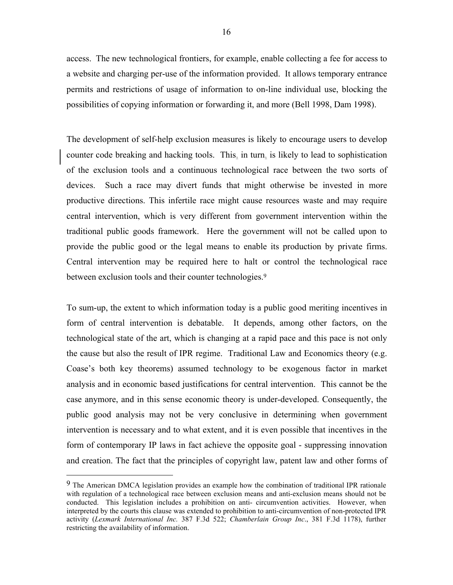access. The new technological frontiers, for example, enable collecting a fee for access to a website and charging per-use of the information provided. It allows temporary entrance permits and restrictions of usage of information to on-line individual use, blocking the possibilities of copying information or forwarding it, and more (Bell 1998, Dam 1998).

The development of self-help exclusion measures is likely to encourage users to develop counter code breaking and hacking tools. This, in turn, is likely to lead to sophistication of the exclusion tools and a continuous technological race between the two sorts of devices. Such a race may divert funds that might otherwise be invested in more productive directions. This infertile race might cause resources waste and may require central intervention, which is very different from government intervention within the traditional public goods framework. Here the government will not be called upon to provide the public good or the legal means to enable its production by private firms. Central intervention may be required here to halt or control the technological race between exclusion tools and their counter technologies.<sup>9</sup>

To sum-up, the extent to which information today is a public good meriting incentives in form of central intervention is debatable. It depends, among other factors, on the technological state of the art, which is changing at a rapid pace and this pace is not only the cause but also the result of IPR regime. Traditional Law and Economics theory (e.g. Coase's both key theorems) assumed technology to be exogenous factor in market analysis and in economic based justifications for central intervention. This cannot be the case anymore, and in this sense economic theory is under-developed. Consequently, the public good analysis may not be very conclusive in determining when government intervention is necessary and to what extent, and it is even possible that incentives in the form of contemporary IP laws in fact achieve the opposite goal - suppressing innovation and creation. The fact that the principles of copyright law, patent law and other forms of

<sup>9</sup> The American DMCA legislation provides an example how the combination of traditional IPR rationale with regulation of a technological race between exclusion means and anti-exclusion means should not be conducted. This legislation includes a prohibition on anti- circumvention activities. However, when interpreted by the courts this clause was extended to prohibition to anti-circumvention of non-protected IPR activity (*Lexmark International Inc.* 387 F.3d 522; *Chamberlain Group Inc*., 381 F.3d 1178), further restricting the availability of information.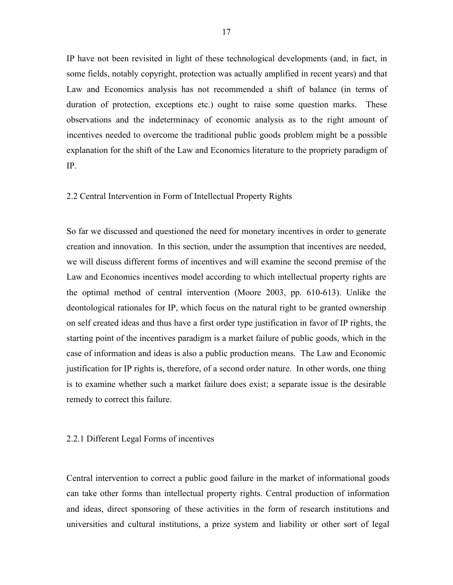IP have not been revisited in light of these technological developments (and, in fact, in some fields, notably copyright, protection was actually amplified in recent years) and that Law and Economics analysis has not recommended a shift of balance (in terms of duration of protection, exceptions etc.) ought to raise some question marks. These observations and the indeterminacy of economic analysis as to the right amount of incentives needed to overcome the traditional public goods problem might be a possible explanation for the shift of the Law and Economics literature to the propriety paradigm of IP.

### 2.2 Central Intervention in Form of Intellectual Property Rights

So far we discussed and questioned the need for monetary incentives in order to generate creation and innovation. In this section, under the assumption that incentives are needed, we will discuss different forms of incentives and will examine the second premise of the Law and Economics incentives model according to which intellectual property rights are the optimal method of central intervention (Moore 2003, pp. 610-613). Unlike the deontological rationales for IP, which focus on the natural right to be granted ownership on self created ideas and thus have a first order type justification in favor of IP rights, the starting point of the incentives paradigm is a market failure of public goods, which in the case of information and ideas is also a public production means. The Law and Economic justification for IP rights is, therefore, of a second order nature. In other words, one thing is to examine whether such a market failure does exist; a separate issue is the desirable remedy to correct this failure.

### 2.2.1 Different Legal Forms of incentives

Central intervention to correct a public good failure in the market of informational goods can take other forms than intellectual property rights. Central production of information and ideas, direct sponsoring of these activities in the form of research institutions and universities and cultural institutions, a prize system and liability or other sort of legal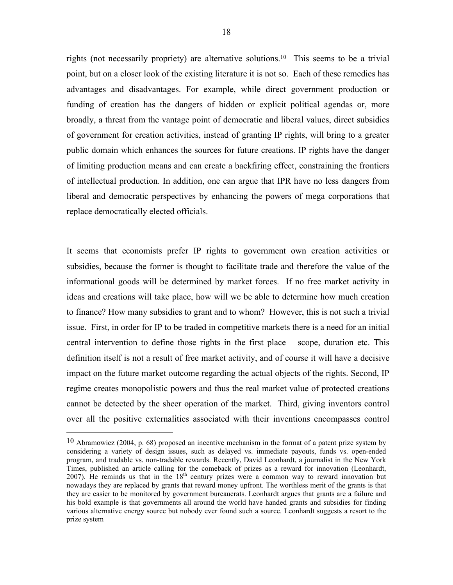rights (not necessarily propriety) are alternative solutions.10 This seems to be a trivial point, but on a closer look of the existing literature it is not so. Each of these remedies has advantages and disadvantages. For example, while direct government production or funding of creation has the dangers of hidden or explicit political agendas or, more broadly, a threat from the vantage point of democratic and liberal values, direct subsidies of government for creation activities, instead of granting IP rights, will bring to a greater public domain which enhances the sources for future creations. IP rights have the danger of limiting production means and can create a backfiring effect, constraining the frontiers of intellectual production. In addition, one can argue that IPR have no less dangers from liberal and democratic perspectives by enhancing the powers of mega corporations that replace democratically elected officials.

It seems that economists prefer IP rights to government own creation activities or subsidies, because the former is thought to facilitate trade and therefore the value of the informational goods will be determined by market forces. If no free market activity in ideas and creations will take place, how will we be able to determine how much creation to finance? How many subsidies to grant and to whom? However, this is not such a trivial issue. First, in order for IP to be traded in competitive markets there is a need for an initial central intervention to define those rights in the first place – scope, duration etc. This definition itself is not a result of free market activity, and of course it will have a decisive impact on the future market outcome regarding the actual objects of the rights. Second, IP regime creates monopolistic powers and thus the real market value of protected creations cannot be detected by the sheer operation of the market. Third, giving inventors control over all the positive externalities associated with their inventions encompasses control

 $10$  Abramowicz (2004, p. 68) proposed an incentive mechanism in the format of a patent prize system by considering a variety of design issues, such as delayed vs. immediate payouts, funds vs. open-ended program, and tradable vs. non-tradable rewards. Recently, David Leonhardt, a journalist in the New York Times, published an article calling for the comeback of prizes as a reward for innovation (Leonhardt,  $2007$ ). He reminds us that in the  $18<sup>th</sup>$  century prizes were a common way to reward innovation but nowadays they are replaced by grants that reward money upfront. The worthless merit of the grants is that they are easier to be monitored by government bureaucrats. Leonhardt argues that grants are a failure and his bold example is that governments all around the world have handed grants and subsidies for finding various alternative energy source but nobody ever found such a source. Leonhardt suggests a resort to the prize system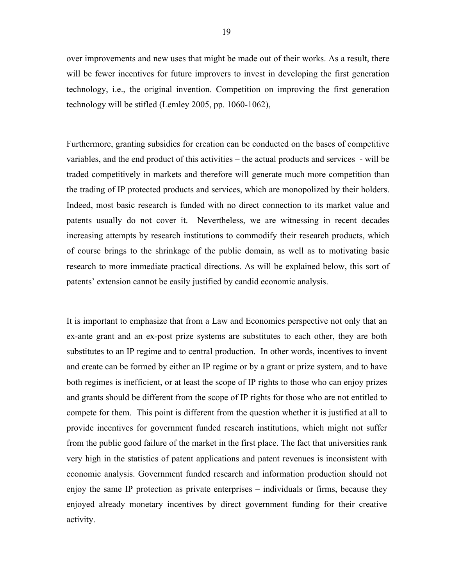over improvements and new uses that might be made out of their works. As a result, there will be fewer incentives for future improvers to invest in developing the first generation technology, i.e., the original invention. Competition on improving the first generation technology will be stifled (Lemley 2005, pp. 1060-1062),

Furthermore, granting subsidies for creation can be conducted on the bases of competitive variables, and the end product of this activities – the actual products and services - will be traded competitively in markets and therefore will generate much more competition than the trading of IP protected products and services, which are monopolized by their holders. Indeed, most basic research is funded with no direct connection to its market value and patents usually do not cover it. Nevertheless, we are witnessing in recent decades increasing attempts by research institutions to commodify their research products, which of course brings to the shrinkage of the public domain, as well as to motivating basic research to more immediate practical directions. As will be explained below, this sort of patents' extension cannot be easily justified by candid economic analysis.

It is important to emphasize that from a Law and Economics perspective not only that an ex-ante grant and an ex-post prize systems are substitutes to each other, they are both substitutes to an IP regime and to central production. In other words, incentives to invent and create can be formed by either an IP regime or by a grant or prize system, and to have both regimes is inefficient, or at least the scope of IP rights to those who can enjoy prizes and grants should be different from the scope of IP rights for those who are not entitled to compete for them. This point is different from the question whether it is justified at all to provide incentives for government funded research institutions, which might not suffer from the public good failure of the market in the first place. The fact that universities rank very high in the statistics of patent applications and patent revenues is inconsistent with economic analysis. Government funded research and information production should not enjoy the same IP protection as private enterprises – individuals or firms, because they enjoyed already monetary incentives by direct government funding for their creative activity.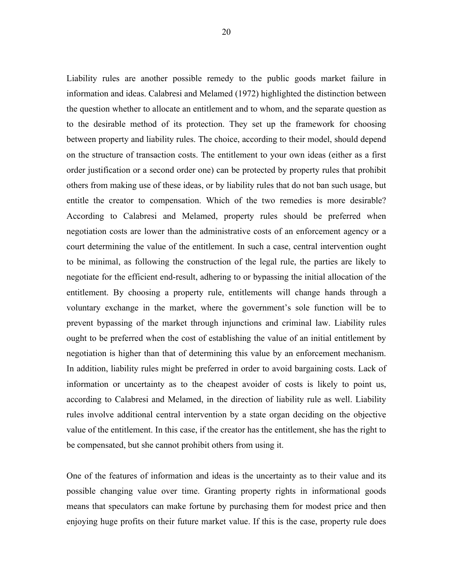Liability rules are another possible remedy to the public goods market failure in information and ideas. Calabresi and Melamed (1972) highlighted the distinction between the question whether to allocate an entitlement and to whom, and the separate question as to the desirable method of its protection. They set up the framework for choosing between property and liability rules. The choice, according to their model, should depend on the structure of transaction costs. The entitlement to your own ideas (either as a first order justification or a second order one) can be protected by property rules that prohibit others from making use of these ideas, or by liability rules that do not ban such usage, but entitle the creator to compensation. Which of the two remedies is more desirable? According to Calabresi and Melamed, property rules should be preferred when negotiation costs are lower than the administrative costs of an enforcement agency or a court determining the value of the entitlement. In such a case, central intervention ought to be minimal, as following the construction of the legal rule, the parties are likely to negotiate for the efficient end-result, adhering to or bypassing the initial allocation of the entitlement. By choosing a property rule, entitlements will change hands through a voluntary exchange in the market, where the government's sole function will be to prevent bypassing of the market through injunctions and criminal law. Liability rules ought to be preferred when the cost of establishing the value of an initial entitlement by negotiation is higher than that of determining this value by an enforcement mechanism. In addition, liability rules might be preferred in order to avoid bargaining costs. Lack of information or uncertainty as to the cheapest avoider of costs is likely to point us, according to Calabresi and Melamed, in the direction of liability rule as well. Liability rules involve additional central intervention by a state organ deciding on the objective value of the entitlement. In this case, if the creator has the entitlement, she has the right to be compensated, but she cannot prohibit others from using it.

One of the features of information and ideas is the uncertainty as to their value and its possible changing value over time. Granting property rights in informational goods means that speculators can make fortune by purchasing them for modest price and then enjoying huge profits on their future market value. If this is the case, property rule does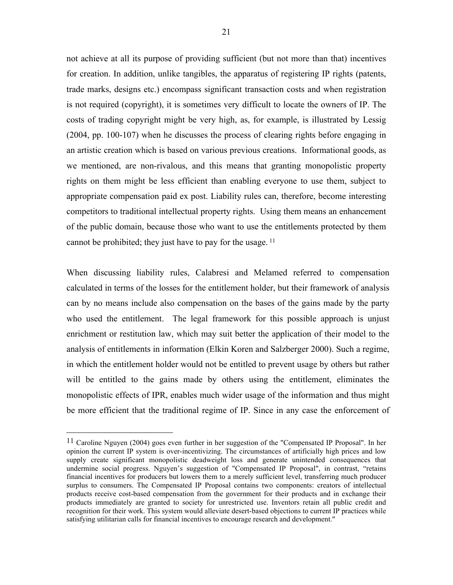not achieve at all its purpose of providing sufficient (but not more than that) incentives for creation. In addition, unlike tangibles, the apparatus of registering IP rights (patents, trade marks, designs etc.) encompass significant transaction costs and when registration is not required (copyright), it is sometimes very difficult to locate the owners of IP. The costs of trading copyright might be very high, as, for example, is illustrated by Lessig (2004, pp. 100-107) when he discusses the process of clearing rights before engaging in an artistic creation which is based on various previous creations. Informational goods, as we mentioned, are non-rivalous, and this means that granting monopolistic property rights on them might be less efficient than enabling everyone to use them, subject to appropriate compensation paid ex post. Liability rules can, therefore, become interesting competitors to traditional intellectual property rights. Using them means an enhancement of the public domain, because those who want to use the entitlements protected by them cannot be prohibited; they just have to pay for the usage. <sup>11</sup>

When discussing liability rules, Calabresi and Melamed referred to compensation calculated in terms of the losses for the entitlement holder, but their framework of analysis can by no means include also compensation on the bases of the gains made by the party who used the entitlement. The legal framework for this possible approach is unjust enrichment or restitution law, which may suit better the application of their model to the analysis of entitlements in information (Elkin Koren and Salzberger 2000). Such a regime, in which the entitlement holder would not be entitled to prevent usage by others but rather will be entitled to the gains made by others using the entitlement, eliminates the monopolistic effects of IPR, enables much wider usage of the information and thus might be more efficient that the traditional regime of IP. Since in any case the enforcement of

<sup>11</sup> Caroline Nguyen (2004) goes even further in her suggestion of the "Compensated IP Proposal". In her opinion the current IP system is over-incentivizing. The circumstances of artificially high prices and low supply create significant monopolistic deadweight loss and generate unintended consequences that undermine social progress. Nguyen's suggestion of "Compensated IP Proposal", in contrast, "retains financial incentives for producers but lowers them to a merely sufficient level, transferring much producer surplus to consumers. The Compensated IP Proposal contains two components: creators of intellectual products receive cost-based compensation from the government for their products and in exchange their products immediately are granted to society for unrestricted use. Inventors retain all public credit and recognition for their work. This system would alleviate desert-based objections to current IP practices while satisfying utilitarian calls for financial incentives to encourage research and development."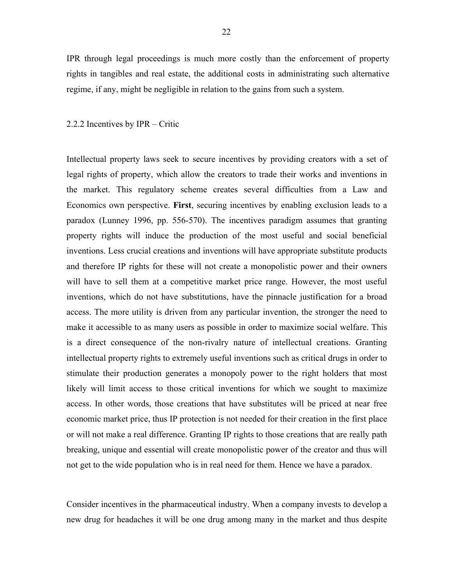IPR through legal proceedings is much more costly than the enforcement of property rights in tangibles and real estate, the additional costs in administrating such alternative regime, if any, might be negligible in relation to the gains from such a system.

#### 2.2.2 Incentives by IPR – Critic

Intellectual property laws seek to secure incentives by providing creators with a set of legal rights of property, which allow the creators to trade their works and inventions in the market. This regulatory scheme creates several difficulties from a Law and Economics own perspective. **First**, securing incentives by enabling exclusion leads to a paradox (Lunney 1996, pp. 556-570). The incentives paradigm assumes that granting property rights will induce the production of the most useful and social beneficial inventions. Less crucial creations and inventions will have appropriate substitute products and therefore IP rights for these will not create a monopolistic power and their owners will have to sell them at a competitive market price range. However, the most useful inventions, which do not have substitutions, have the pinnacle justification for a broad access. The more utility is driven from any particular invention, the stronger the need to make it accessible to as many users as possible in order to maximize social welfare. This is a direct consequence of the non-rivalry nature of intellectual creations. Granting intellectual property rights to extremely useful inventions such as critical drugs in order to stimulate their production generates a monopoly power to the right holders that most likely will limit access to those critical inventions for which we sought to maximize access. In other words, those creations that have substitutes will be priced at near free economic market price, thus IP protection is not needed for their creation in the first place or will not make a real difference. Granting IP rights to those creations that are really path breaking, unique and essential will create monopolistic power of the creator and thus will not get to the wide population who is in real need for them. Hence we have a paradox.

Consider incentives in the pharmaceutical industry. When a company invests to develop a new drug for headaches it will be one drug among many in the market and thus despite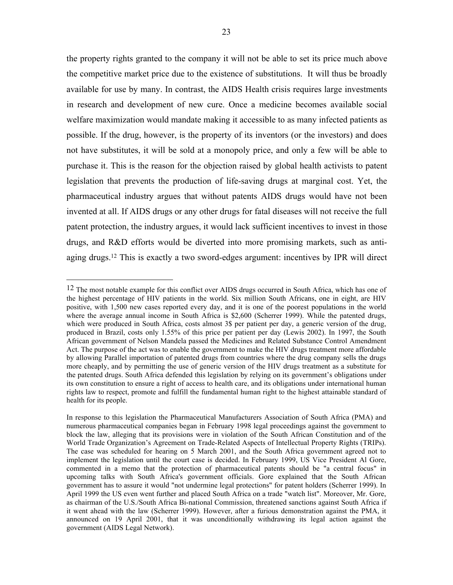the property rights granted to the company it will not be able to set its price much above the competitive market price due to the existence of substitutions. It will thus be broadly available for use by many. In contrast, the AIDS Health crisis requires large investments in research and development of new cure. Once a medicine becomes available social welfare maximization would mandate making it accessible to as many infected patients as possible. If the drug, however, is the property of its inventors (or the investors) and does not have substitutes, it will be sold at a monopoly price, and only a few will be able to purchase it. This is the reason for the objection raised by global health activists to patent legislation that prevents the production of life-saving drugs at marginal cost. Yet, the pharmaceutical industry argues that without patents AIDS drugs would have not been invented at all. If AIDS drugs or any other drugs for fatal diseases will not receive the full patent protection, the industry argues, it would lack sufficient incentives to invest in those drugs, and R&D efforts would be diverted into more promising markets, such as antiaging drugs.12 This is exactly a two sword-edges argument: incentives by IPR will direct

<sup>12</sup> The most notable example for this conflict over AIDS drugs occurred in South Africa, which has one of the highest percentage of HIV patients in the world. Six million South Africans, one in eight, are HIV positive, with 1,500 new cases reported every day, and it is one of the poorest populations in the world where the average annual income in South Africa is \$2,600 (Scherrer 1999). While the patented drugs, which were produced in South Africa, costs almost 3\$ per patient per day, a generic version of the drug, produced in Brazil, costs only 1.55% of this price per patient per day (Lewis 2002). In 1997, the South African government of Nelson Mandela passed the Medicines and Related Substance Control Amendment Act. The purpose of the act was to enable the government to make the HIV drugs treatment more affordable by allowing Parallel importation of patented drugs from countries where the drug company sells the drugs more cheaply, and by permitting the use of generic version of the HIV drugs treatment as a substitute for the patented drugs. South Africa defended this legislation by relying on its government's obligations under its own constitution to ensure a right of access to health care, and its obligations under international human rights law to respect, promote and fulfill the fundamental human right to the highest attainable standard of health for its people.

In response to this legislation the Pharmaceutical Manufacturers Association of South Africa (PMA) and numerous pharmaceutical companies began in February 1998 legal proceedings against the government to block the law, alleging that its provisions were in violation of the South African Constitution and of the World Trade Organization's Agreement on Trade-Related Aspects of Intellectual Property Rights (TRIPs). The case was scheduled for hearing on 5 March 2001, and the South Africa government agreed not to implement the legislation until the court case is decided. In February 1999, US Vice President Al Gore, commented in a memo that the protection of pharmaceutical patents should be "a central focus" in upcoming talks with South Africa's government officials. Gore explained that the South African government has to assure it would "not undermine legal protections" for patent holders (Scherrer 1999). In April 1999 the US even went further and placed South Africa on a trade "watch list". Moreover, Mr. Gore, as chairman of the U.S./South Africa Bi-national Commission, threatened sanctions against South Africa if it went ahead with the law (Scherrer 1999). However, after a furious demonstration against the PMA, it announced on 19 April 2001, that it was unconditionally withdrawing its legal action against the government (AIDS Legal Network).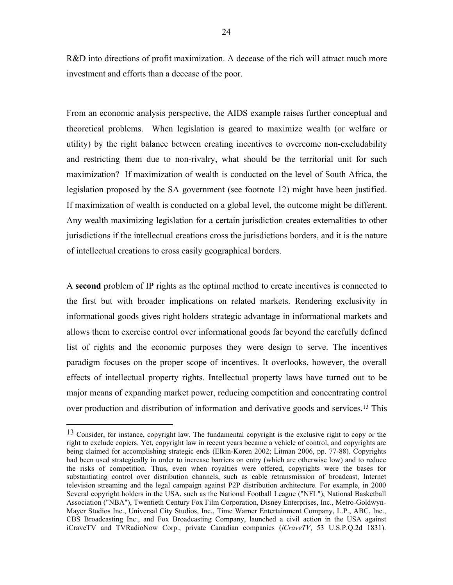R&D into directions of profit maximization. A decease of the rich will attract much more investment and efforts than a decease of the poor.

From an economic analysis perspective, the AIDS example raises further conceptual and theoretical problems. When legislation is geared to maximize wealth (or welfare or utility) by the right balance between creating incentives to overcome non-excludability and restricting them due to non-rivalry, what should be the territorial unit for such maximization? If maximization of wealth is conducted on the level of South Africa, the legislation proposed by the SA government (see footnote 12) might have been justified. If maximization of wealth is conducted on a global level, the outcome might be different. Any wealth maximizing legislation for a certain jurisdiction creates externalities to other jurisdictions if the intellectual creations cross the jurisdictions borders, and it is the nature of intellectual creations to cross easily geographical borders.

A **second** problem of IP rights as the optimal method to create incentives is connected to the first but with broader implications on related markets. Rendering exclusivity in informational goods gives right holders strategic advantage in informational markets and allows them to exercise control over informational goods far beyond the carefully defined list of rights and the economic purposes they were design to serve. The incentives paradigm focuses on the proper scope of incentives. It overlooks, however, the overall effects of intellectual property rights. Intellectual property laws have turned out to be major means of expanding market power, reducing competition and concentrating control over production and distribution of information and derivative goods and services.13 This

<sup>13</sup> Consider, for instance, copyright law. The fundamental copyright is the exclusive right to copy or the right to exclude copiers. Yet, copyright law in recent years became a vehicle of control, and copyrights are being claimed for accomplishing strategic ends (Elkin-Koren 2002; Litman 2006, pp. 77-88). Copyrights had been used strategically in order to increase barriers on entry (which are otherwise low) and to reduce the risks of competition. Thus, even when royalties were offered, copyrights were the bases for substantiating control over distribution channels, such as cable retransmission of broadcast, Internet television streaming and the legal campaign against P2P distribution architecture. For example, in 2000 Several copyright holders in the USA, such as the National Football League ("NFL"), National Basketball Association ("NBA"), Twentieth Century Fox Film Corporation, Disney Enterprises, Inc., Metro-Goldwyn-Mayer Studios Inc., Universal City Studios, Inc., Time Warner Entertainment Company, L.P., ABC, Inc., CBS Broadcasting Inc., and Fox Broadcasting Company, launched a civil action in the USA against iCraveTV and TVRadioNow Corp., private Canadian companies (*iCraveTV*, 53 U.S.P.Q.2d 1831).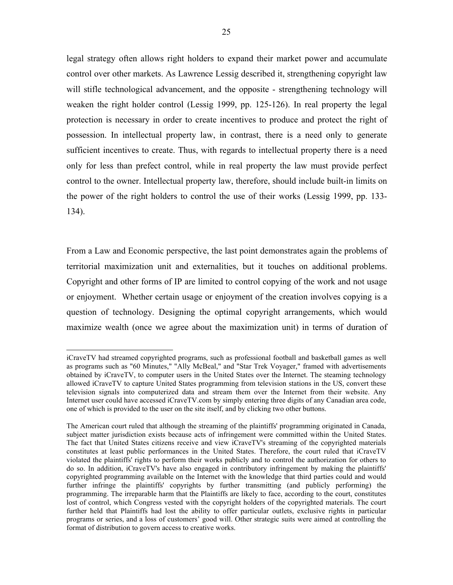legal strategy often allows right holders to expand their market power and accumulate control over other markets. As Lawrence Lessig described it, strengthening copyright law will stifle technological advancement, and the opposite - strengthening technology will weaken the right holder control (Lessig 1999, pp. 125-126). In real property the legal protection is necessary in order to create incentives to produce and protect the right of possession. In intellectual property law, in contrast, there is a need only to generate sufficient incentives to create. Thus, with regards to intellectual property there is a need only for less than prefect control, while in real property the law must provide perfect control to the owner. Intellectual property law, therefore, should include built-in limits on the power of the right holders to control the use of their works (Lessig 1999, pp. 133- 134).

From a Law and Economic perspective, the last point demonstrates again the problems of territorial maximization unit and externalities, but it touches on additional problems. Copyright and other forms of IP are limited to control copying of the work and not usage or enjoyment. Whether certain usage or enjoyment of the creation involves copying is a question of technology. Designing the optimal copyright arrangements, which would maximize wealth (once we agree about the maximization unit) in terms of duration of

iCraveTV had streamed copyrighted programs, such as professional football and basketball games as well as programs such as "60 Minutes," "Ally McBeal," and "Star Trek Voyager," framed with advertisements obtained by iCraveTV, to computer users in the United States over the Internet. The steaming technology allowed iCraveTV to capture United States programming from television stations in the US, convert these television signals into computerized data and stream them over the Internet from their website. Any Internet user could have accessed iCraveTV.com by simply entering three digits of any Canadian area code, one of which is provided to the user on the site itself, and by clicking two other buttons.

The American court ruled that although the streaming of the plaintiffs' programming originated in Canada, subject matter jurisdiction exists because acts of infringement were committed within the United States. The fact that United States citizens receive and view iCraveTV's streaming of the copyrighted materials constitutes at least public performances in the United States. Therefore, the court ruled that iCraveTV violated the plaintiffs' rights to perform their works publicly and to control the authorization for others to do so. In addition, iCraveTV's have also engaged in contributory infringement by making the plaintiffs' copyrighted programming available on the Internet with the knowledge that third parties could and would further infringe the plaintiffs' copyrights by further transmitting (and publicly performing) the programming. The irreparable harm that the Plaintiffs are likely to face, according to the court, constitutes lost of control, which Congress vested with the copyright holders of the copyrighted materials. The court further held that Plaintiffs had lost the ability to offer particular outlets, exclusive rights in particular programs or series, and a loss of customers' good will. Other strategic suits were aimed at controlling the format of distribution to govern access to creative works.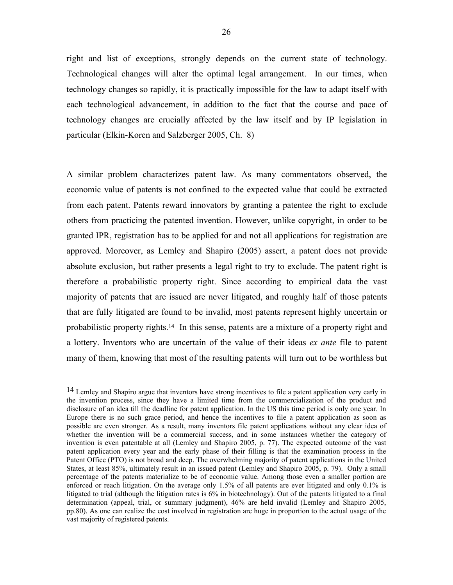right and list of exceptions, strongly depends on the current state of technology. Technological changes will alter the optimal legal arrangement. In our times, when technology changes so rapidly, it is practically impossible for the law to adapt itself with each technological advancement, in addition to the fact that the course and pace of technology changes are crucially affected by the law itself and by IP legislation in particular (Elkin-Koren and Salzberger 2005, Ch. 8)

A similar problem characterizes patent law. As many commentators observed, the economic value of patents is not confined to the expected value that could be extracted from each patent. Patents reward innovators by granting a patentee the right to exclude others from practicing the patented invention. However, unlike copyright, in order to be granted IPR, registration has to be applied for and not all applications for registration are approved. Moreover, as Lemley and Shapiro (2005) assert, a patent does not provide absolute exclusion, but rather presents a legal right to try to exclude. The patent right is therefore a probabilistic property right. Since according to empirical data the vast majority of patents that are issued are never litigated, and roughly half of those patents that are fully litigated are found to be invalid, most patents represent highly uncertain or probabilistic property rights.14 In this sense, patents are a mixture of a property right and a lottery. Inventors who are uncertain of the value of their ideas *ex ante* file to patent many of them, knowing that most of the resulting patents will turn out to be worthless but

<sup>14</sup> Lemley and Shapiro argue that inventors have strong incentives to file a patent application very early in the invention process, since they have a limited time from the commercialization of the product and disclosure of an idea till the deadline for patent application. In the US this time period is only one year. In Europe there is no such grace period, and hence the incentives to file a patent application as soon as possible are even stronger. As a result, many inventors file patent applications without any clear idea of whether the invention will be a commercial success, and in some instances whether the category of invention is even patentable at all (Lemley and Shapiro 2005, p. 77). The expected outcome of the vast patent application every year and the early phase of their filling is that the examination process in the Patent Office (PTO) is not broad and deep. The overwhelming majority of patent applications in the United States, at least 85%, ultimately result in an issued patent (Lemley and Shapiro 2005, p. 79). Only a small percentage of the patents materialize to be of economic value. Among those even a smaller portion are enforced or reach litigation. On the average only 1.5% of all patents are ever litigated and only 0.1% is litigated to trial (although the litigation rates is 6% in biotechnology). Out of the patents litigated to a final determination (appeal, trial, or summary judgment), 46% are held invalid (Lemley and Shapiro 2005, pp.80). As one can realize the cost involved in registration are huge in proportion to the actual usage of the vast majority of registered patents.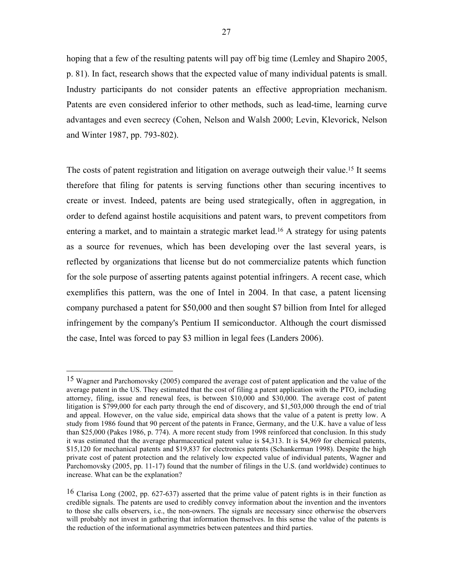hoping that a few of the resulting patents will pay off big time (Lemley and Shapiro 2005, p. 81). In fact, research shows that the expected value of many individual patents is small. Industry participants do not consider patents an effective appropriation mechanism. Patents are even considered inferior to other methods, such as lead-time, learning curve advantages and even secrecy (Cohen, Nelson and Walsh 2000; Levin, Klevorick, Nelson and Winter 1987, pp. 793-802).

The costs of patent registration and litigation on average outweigh their value.15 It seems therefore that filing for patents is serving functions other than securing incentives to create or invest. Indeed, patents are being used strategically, often in aggregation, in order to defend against hostile acquisitions and patent wars, to prevent competitors from entering a market, and to maintain a strategic market lead.16 A strategy for using patents as a source for revenues, which has been developing over the last several years, is reflected by organizations that license but do not commercialize patents which function for the sole purpose of asserting patents against potential infringers. A recent case, which exemplifies this pattern, was the one of Intel in 2004. In that case, a patent licensing company purchased a patent for \$50,000 and then sought \$7 billion from Intel for alleged infringement by the company's Pentium II semiconductor. Although the court dismissed the case, Intel was forced to pay \$3 million in legal fees (Landers 2006).

<sup>15</sup> Wagner and Parchomovsky (2005) compared the average cost of patent application and the value of the average patent in the US. They estimated that the cost of filing a patent application with the PTO, including attorney, filing, issue and renewal fees, is between \$10,000 and \$30,000. The average cost of patent litigation is \$799,000 for each party through the end of discovery, and \$1,503,000 through the end of trial and appeal. However, on the value side, empirical data shows that the value of a patent is pretty low. A study from 1986 found that 90 percent of the patents in France, Germany, and the U.K. have a value of less than \$25,000 (Pakes 1986, p. 774). A more recent study from 1998 reinforced that conclusion. In this study it was estimated that the average pharmaceutical patent value is \$4,313. It is \$4,969 for chemical patents, \$15,120 for mechanical patents and \$19,837 for electronics patents (Schankerman 1998). Despite the high private cost of patent protection and the relatively low expected value of individual patents, Wagner and Parchomovsky (2005, pp. 11-17) found that the number of filings in the U.S. (and worldwide) continues to increase. What can be the explanation?

<sup>16</sup> Clarisa Long (2002, pp. 627-637) asserted that the prime value of patent rights is in their function as credible signals. The patents are used to credibly convey information about the invention and the inventors to those she calls observers, i.e., the non-owners. The signals are necessary since otherwise the observers will probably not invest in gathering that information themselves. In this sense the value of the patents is the reduction of the informational asymmetries between patentees and third parties.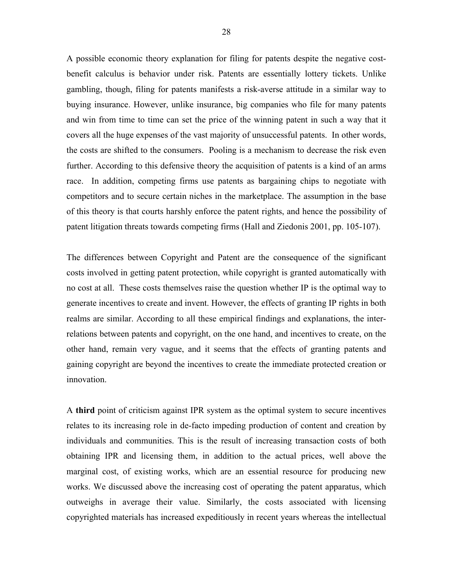A possible economic theory explanation for filing for patents despite the negative costbenefit calculus is behavior under risk. Patents are essentially lottery tickets. Unlike gambling, though, filing for patents manifests a risk-averse attitude in a similar way to buying insurance. However, unlike insurance, big companies who file for many patents and win from time to time can set the price of the winning patent in such a way that it covers all the huge expenses of the vast majority of unsuccessful patents. In other words, the costs are shifted to the consumers. Pooling is a mechanism to decrease the risk even further. According to this defensive theory the acquisition of patents is a kind of an arms race. In addition, competing firms use patents as bargaining chips to negotiate with competitors and to secure certain niches in the marketplace. The assumption in the base of this theory is that courts harshly enforce the patent rights, and hence the possibility of patent litigation threats towards competing firms (Hall and Ziedonis 2001, pp. 105-107).

The differences between Copyright and Patent are the consequence of the significant costs involved in getting patent protection, while copyright is granted automatically with no cost at all. These costs themselves raise the question whether IP is the optimal way to generate incentives to create and invent. However, the effects of granting IP rights in both realms are similar. According to all these empirical findings and explanations, the interrelations between patents and copyright, on the one hand, and incentives to create, on the other hand, remain very vague, and it seems that the effects of granting patents and gaining copyright are beyond the incentives to create the immediate protected creation or innovation.

A **third** point of criticism against IPR system as the optimal system to secure incentives relates to its increasing role in de-facto impeding production of content and creation by individuals and communities. This is the result of increasing transaction costs of both obtaining IPR and licensing them, in addition to the actual prices, well above the marginal cost, of existing works, which are an essential resource for producing new works. We discussed above the increasing cost of operating the patent apparatus, which outweighs in average their value. Similarly, the costs associated with licensing copyrighted materials has increased expeditiously in recent years whereas the intellectual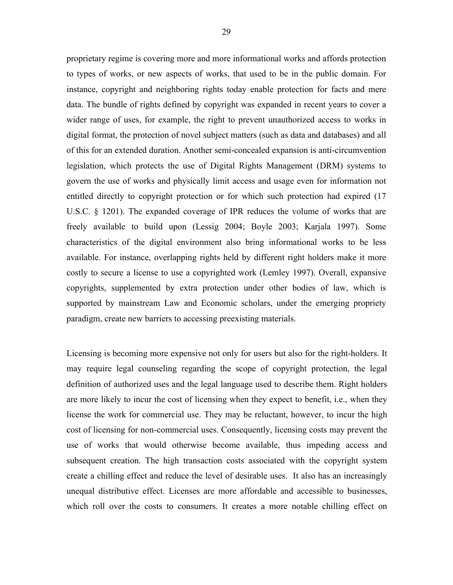proprietary regime is covering more and more informational works and affords protection to types of works, or new aspects of works, that used to be in the public domain. For instance, copyright and neighboring rights today enable protection for facts and mere data. The bundle of rights defined by copyright was expanded in recent years to cover a wider range of uses, for example, the right to prevent unauthorized access to works in digital format, the protection of novel subject matters (such as data and databases) and all of this for an extended duration. Another semi-concealed expansion is anti-circumvention legislation, which protects the use of Digital Rights Management (DRM) systems to govern the use of works and physically limit access and usage even for information not entitled directly to copyright protection or for which such protection had expired (17 U.S.C. § 1201). The expanded coverage of IPR reduces the volume of works that are freely available to build upon (Lessig 2004; Boyle 2003; Karjala 1997). Some characteristics of the digital environment also bring informational works to be less available. For instance, overlapping rights held by different right holders make it more costly to secure a license to use a copyrighted work (Lemley 1997). Overall, expansive copyrights, supplemented by extra protection under other bodies of law, which is supported by mainstream Law and Economic scholars, under the emerging propriety paradigm, create new barriers to accessing preexisting materials.

Licensing is becoming more expensive not only for users but also for the right-holders. It may require legal counseling regarding the scope of copyright protection, the legal definition of authorized uses and the legal language used to describe them. Right holders are more likely to incur the cost of licensing when they expect to benefit, i.e., when they license the work for commercial use. They may be reluctant, however, to incur the high cost of licensing for non-commercial uses. Consequently, licensing costs may prevent the use of works that would otherwise become available, thus impeding access and subsequent creation. The high transaction costs associated with the copyright system create a chilling effect and reduce the level of desirable uses. It also has an increasingly unequal distributive effect. Licenses are more affordable and accessible to businesses, which roll over the costs to consumers. It creates a more notable chilling effect on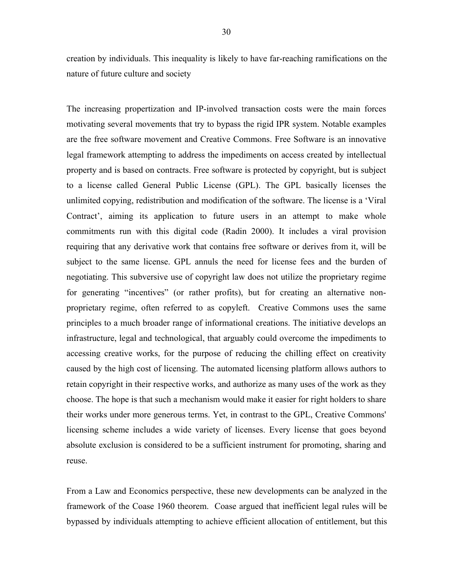creation by individuals. This inequality is likely to have far-reaching ramifications on the nature of future culture and society

The increasing propertization and IP-involved transaction costs were the main forces motivating several movements that try to bypass the rigid IPR system. Notable examples are the free software movement and Creative Commons. Free Software is an innovative legal framework attempting to address the impediments on access created by intellectual property and is based on contracts. Free software is protected by copyright, but is subject to a license called General Public License (GPL). The GPL basically licenses the unlimited copying, redistribution and modification of the software. The license is a 'Viral Contract', aiming its application to future users in an attempt to make whole commitments run with this digital code (Radin 2000). It includes a viral provision requiring that any derivative work that contains free software or derives from it, will be subject to the same license. GPL annuls the need for license fees and the burden of negotiating. This subversive use of copyright law does not utilize the proprietary regime for generating "incentives" (or rather profits), but for creating an alternative nonproprietary regime, often referred to as copyleft. Creative Commons uses the same principles to a much broader range of informational creations. The initiative develops an infrastructure, legal and technological, that arguably could overcome the impediments to accessing creative works, for the purpose of reducing the chilling effect on creativity caused by the high cost of licensing. The automated licensing platform allows authors to retain copyright in their respective works, and authorize as many uses of the work as they choose. The hope is that such a mechanism would make it easier for right holders to share their works under more generous terms. Yet, in contrast to the GPL, Creative Commons' licensing scheme includes a wide variety of licenses. Every license that goes beyond absolute exclusion is considered to be a sufficient instrument for promoting, sharing and reuse.

From a Law and Economics perspective, these new developments can be analyzed in the framework of the Coase 1960 theorem. Coase argued that inefficient legal rules will be bypassed by individuals attempting to achieve efficient allocation of entitlement, but this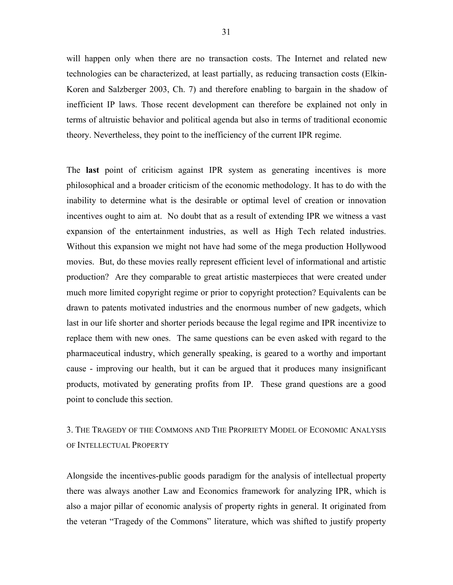will happen only when there are no transaction costs. The Internet and related new technologies can be characterized, at least partially, as reducing transaction costs (Elkin-Koren and Salzberger 2003, Ch. 7) and therefore enabling to bargain in the shadow of inefficient IP laws. Those recent development can therefore be explained not only in terms of altruistic behavior and political agenda but also in terms of traditional economic theory. Nevertheless, they point to the inefficiency of the current IPR regime.

The **last** point of criticism against IPR system as generating incentives is more philosophical and a broader criticism of the economic methodology. It has to do with the inability to determine what is the desirable or optimal level of creation or innovation incentives ought to aim at. No doubt that as a result of extending IPR we witness a vast expansion of the entertainment industries, as well as High Tech related industries. Without this expansion we might not have had some of the mega production Hollywood movies. But, do these movies really represent efficient level of informational and artistic production? Are they comparable to great artistic masterpieces that were created under much more limited copyright regime or prior to copyright protection? Equivalents can be drawn to patents motivated industries and the enormous number of new gadgets, which last in our life shorter and shorter periods because the legal regime and IPR incentivize to replace them with new ones. The same questions can be even asked with regard to the pharmaceutical industry, which generally speaking, is geared to a worthy and important cause - improving our health, but it can be argued that it produces many insignificant products, motivated by generating profits from IP. These grand questions are a good point to conclude this section.

# 3. THE TRAGEDY OF THE COMMONS AND THE PROPRIETY MODEL OF ECONOMIC ANALYSIS OF INTELLECTUAL PROPERTY

Alongside the incentives-public goods paradigm for the analysis of intellectual property there was always another Law and Economics framework for analyzing IPR, which is also a major pillar of economic analysis of property rights in general. It originated from the veteran "Tragedy of the Commons" literature, which was shifted to justify property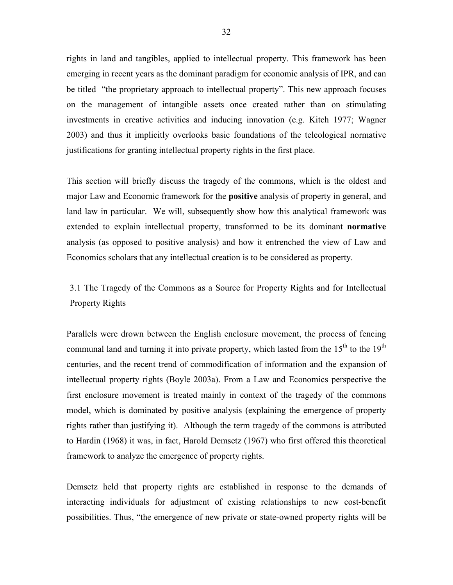rights in land and tangibles, applied to intellectual property. This framework has been emerging in recent years as the dominant paradigm for economic analysis of IPR, and can be titled "the proprietary approach to intellectual property". This new approach focuses on the management of intangible assets once created rather than on stimulating investments in creative activities and inducing innovation (e.g. Kitch 1977; Wagner 2003) and thus it implicitly overlooks basic foundations of the teleological normative justifications for granting intellectual property rights in the first place.

This section will briefly discuss the tragedy of the commons, which is the oldest and major Law and Economic framework for the **positive** analysis of property in general, and land law in particular. We will, subsequently show how this analytical framework was extended to explain intellectual property, transformed to be its dominant **normative** analysis (as opposed to positive analysis) and how it entrenched the view of Law and Economics scholars that any intellectual creation is to be considered as property.

3.1 The Tragedy of the Commons as a Source for Property Rights and for Intellectual Property Rights

Parallels were drown between the English enclosure movement, the process of fencing communal land and turning it into private property, which lasted from the  $15<sup>th</sup>$  to the  $19<sup>th</sup>$ centuries, and the recent trend of commodification of information and the expansion of intellectual property rights (Boyle 2003a). From a Law and Economics perspective the first enclosure movement is treated mainly in context of the tragedy of the commons model, which is dominated by positive analysis (explaining the emergence of property rights rather than justifying it). Although the term tragedy of the commons is attributed to Hardin (1968) it was, in fact, Harold Demsetz (1967) who first offered this theoretical framework to analyze the emergence of property rights.

Demsetz held that property rights are established in response to the demands of interacting individuals for adjustment of existing relationships to new cost-benefit possibilities. Thus, "the emergence of new private or state-owned property rights will be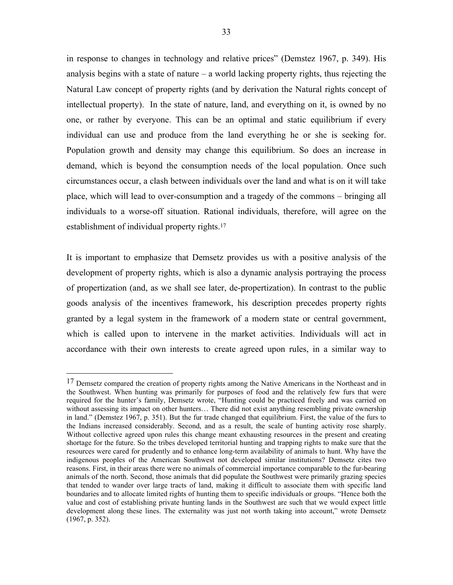in response to changes in technology and relative prices" (Demstez 1967, p. 349). His analysis begins with a state of nature – a world lacking property rights, thus rejecting the Natural Law concept of property rights (and by derivation the Natural rights concept of intellectual property). In the state of nature, land, and everything on it, is owned by no one, or rather by everyone. This can be an optimal and static equilibrium if every individual can use and produce from the land everything he or she is seeking for. Population growth and density may change this equilibrium. So does an increase in demand, which is beyond the consumption needs of the local population. Once such circumstances occur, a clash between individuals over the land and what is on it will take place, which will lead to over-consumption and a tragedy of the commons – bringing all individuals to a worse-off situation. Rational individuals, therefore, will agree on the establishment of individual property rights.<sup>17</sup>

It is important to emphasize that Demsetz provides us with a positive analysis of the development of property rights, which is also a dynamic analysis portraying the process of propertization (and, as we shall see later, de-propertization). In contrast to the public goods analysis of the incentives framework, his description precedes property rights granted by a legal system in the framework of a modern state or central government, which is called upon to intervene in the market activities. Individuals will act in accordance with their own interests to create agreed upon rules, in a similar way to

<sup>&</sup>lt;sup>17</sup> Demsetz compared the creation of property rights among the Native Americans in the Northeast and in the Southwest. When hunting was primarily for purposes of food and the relatively few furs that were required for the hunter's family, Demsetz wrote, "Hunting could be practiced freely and was carried on without assessing its impact on other hunters... There did not exist anything resembling private ownership in land." (Demstez 1967, p. 351). But the fur trade changed that equilibrium. First, the value of the furs to the Indians increased considerably. Second, and as a result, the scale of hunting activity rose sharply. Without collective agreed upon rules this change meant exhausting resources in the present and creating shortage for the future. So the tribes developed territorial hunting and trapping rights to make sure that the resources were cared for prudently and to enhance long-term availability of animals to hunt. Why have the indigenous peoples of the American Southwest not developed similar institutions? Demsetz cites two reasons. First, in their areas there were no animals of commercial importance comparable to the fur-bearing animals of the north. Second, those animals that did populate the Southwest were primarily grazing species that tended to wander over large tracts of land, making it difficult to associate them with specific land boundaries and to allocate limited rights of hunting them to specific individuals or groups. "Hence both the value and cost of establishing private hunting lands in the Southwest are such that we would expect little development along these lines. The externality was just not worth taking into account," wrote Demsetz (1967, p. 352).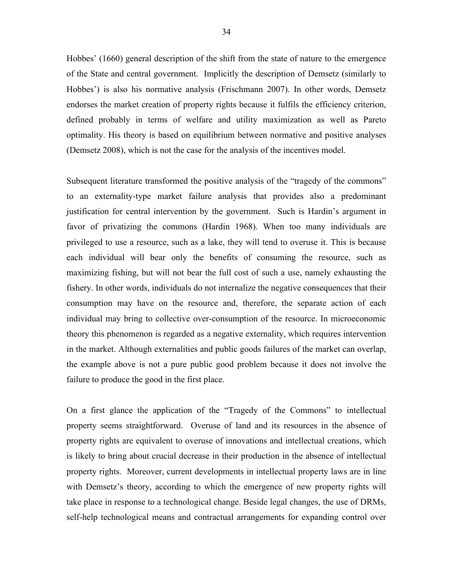Hobbes' (1660) general description of the shift from the state of nature to the emergence of the State and central government. Implicitly the description of Demsetz (similarly to Hobbes') is also his normative analysis (Frischmann 2007). In other words, Demsetz endorses the market creation of property rights because it fulfils the efficiency criterion, defined probably in terms of welfare and utility maximization as well as Pareto optimality. His theory is based on equilibrium between normative and positive analyses (Demsetz 2008), which is not the case for the analysis of the incentives model.

Subsequent literature transformed the positive analysis of the "tragedy of the commons" to an externality-type market failure analysis that provides also a predominant justification for central intervention by the government. Such is Hardin's argument in favor of privatizing the commons (Hardin 1968). When too many individuals are privileged to use a resource, such as a lake, they will tend to overuse it. This is because each individual will bear only the benefits of consuming the resource, such as maximizing fishing, but will not bear the full cost of such a use, namely exhausting the fishery. In other words, individuals do not internalize the negative consequences that their consumption may have on the resource and, therefore, the separate action of each individual may bring to collective over-consumption of the resource. In microeconomic theory this phenomenon is regarded as a negative externality, which requires intervention in the market. Although externalities and public goods failures of the market can overlap, the example above is not a pure public good problem because it does not involve the failure to produce the good in the first place.

On a first glance the application of the "Tragedy of the Commons" to intellectual property seems straightforward. Overuse of land and its resources in the absence of property rights are equivalent to overuse of innovations and intellectual creations, which is likely to bring about crucial decrease in their production in the absence of intellectual property rights. Moreover, current developments in intellectual property laws are in line with Demsetz's theory, according to which the emergence of new property rights will take place in response to a technological change. Beside legal changes, the use of DRMs, self-help technological means and contractual arrangements for expanding control over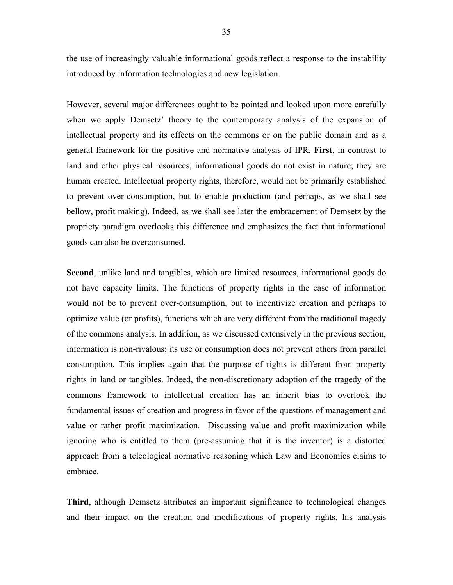the use of increasingly valuable informational goods reflect a response to the instability introduced by information technologies and new legislation.

However, several major differences ought to be pointed and looked upon more carefully when we apply Demsetz' theory to the contemporary analysis of the expansion of intellectual property and its effects on the commons or on the public domain and as a general framework for the positive and normative analysis of IPR. **First**, in contrast to land and other physical resources, informational goods do not exist in nature; they are human created. Intellectual property rights, therefore, would not be primarily established to prevent over-consumption, but to enable production (and perhaps, as we shall see bellow, profit making). Indeed, as we shall see later the embracement of Demsetz by the propriety paradigm overlooks this difference and emphasizes the fact that informational goods can also be overconsumed.

**Second**, unlike land and tangibles, which are limited resources, informational goods do not have capacity limits. The functions of property rights in the case of information would not be to prevent over-consumption, but to incentivize creation and perhaps to optimize value (or profits), functions which are very different from the traditional tragedy of the commons analysis. In addition, as we discussed extensively in the previous section, information is non-rivalous; its use or consumption does not prevent others from parallel consumption. This implies again that the purpose of rights is different from property rights in land or tangibles. Indeed, the non-discretionary adoption of the tragedy of the commons framework to intellectual creation has an inherit bias to overlook the fundamental issues of creation and progress in favor of the questions of management and value or rather profit maximization. Discussing value and profit maximization while ignoring who is entitled to them (pre-assuming that it is the inventor) is a distorted approach from a teleological normative reasoning which Law and Economics claims to embrace.

**Third**, although Demsetz attributes an important significance to technological changes and their impact on the creation and modifications of property rights, his analysis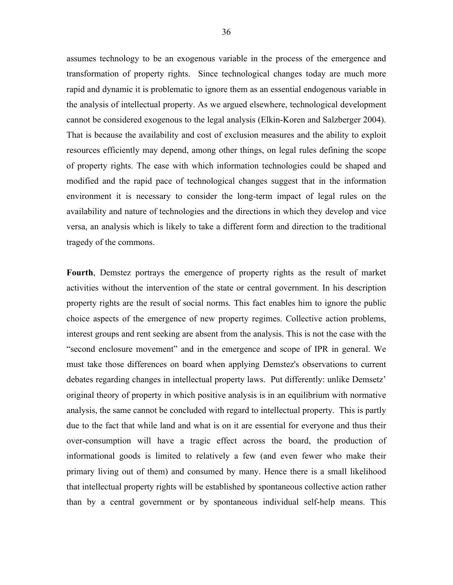assumes technology to be an exogenous variable in the process of the emergence and transformation of property rights. Since technological changes today are much more rapid and dynamic it is problematic to ignore them as an essential endogenous variable in the analysis of intellectual property. As we argued elsewhere, technological development cannot be considered exogenous to the legal analysis (Elkin-Koren and Salzberger 2004). That is because the availability and cost of exclusion measures and the ability to exploit resources efficiently may depend, among other things, on legal rules defining the scope of property rights. The ease with which information technologies could be shaped and modified and the rapid pace of technological changes suggest that in the information environment it is necessary to consider the long-term impact of legal rules on the availability and nature of technologies and the directions in which they develop and vice versa, an analysis which is likely to take a different form and direction to the traditional tragedy of the commons.

**Fourth**, Demstez portrays the emergence of property rights as the result of market activities without the intervention of the state or central government. In his description property rights are the result of social norms. This fact enables him to ignore the public choice aspects of the emergence of new property regimes. Collective action problems, interest groups and rent seeking are absent from the analysis. This is not the case with the "second enclosure movement" and in the emergence and scope of IPR in general. We must take those differences on board when applying Demstez's observations to current debates regarding changes in intellectual property laws. Put differently: unlike Demsetz' original theory of property in which positive analysis is in an equilibrium with normative analysis, the same cannot be concluded with regard to intellectual property. This is partly due to the fact that while land and what is on it are essential for everyone and thus their over-consumption will have a tragic effect across the board, the production of informational goods is limited to relatively a few (and even fewer who make their primary living out of them) and consumed by many. Hence there is a small likelihood that intellectual property rights will be established by spontaneous collective action rather than by a central government or by spontaneous individual self-help means. This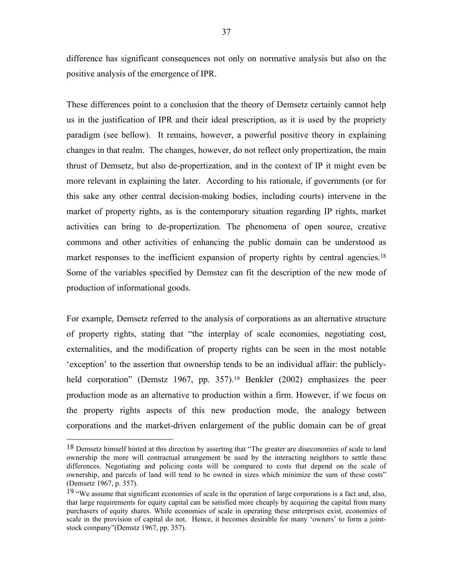difference has significant consequences not only on normative analysis but also on the positive analysis of the emergence of IPR.

These differences point to a conclusion that the theory of Demsetz certainly cannot help us in the justification of IPR and their ideal prescription, as it is used by the propriety paradigm (see bellow). It remains, however, a powerful positive theory in explaining changes in that realm. The changes, however, do not reflect only propertization, the main thrust of Demsetz, but also de-propertization, and in the context of IP it might even be more relevant in explaining the later. According to his rationale, if governments (or for this sake any other central decision-making bodies, including courts) intervene in the market of property rights, as is the contemporary situation regarding IP rights, market activities can bring to de-propertization. The phenomena of open source, creative commons and other activities of enhancing the public domain can be understood as market responses to the inefficient expansion of property rights by central agencies.<sup>18</sup> Some of the variables specified by Demstez can fit the description of the new mode of production of informational goods.

For example, Demsetz referred to the analysis of corporations as an alternative structure of property rights, stating that "the interplay of scale economies, negotiating cost, externalities, and the modification of property rights can be seen in the most notable 'exception' to the assertion that ownership tends to be an individual affair: the publiclyheld corporation" (Demstz 1967, pp. 357).<sup>19</sup> Benkler (2002) emphasizes the peer production mode as an alternative to production within a firm. However, if we focus on the property rights aspects of this new production mode, the analogy between corporations and the market-driven enlargement of the public domain can be of great

<sup>18</sup> Demsetz himself hinted at this direction by asserting that "The greater are diseconomies of scale to land ownership the more will contractual arrangement be used by the interacting neighbors to settle these differences. Negotiating and policing costs will be compared to costs that depend on the scale of ownership, and parcels of land will tend to be owned in sizes which minimize the sum of these costs" (Demsetz 1967, p. 357).

<sup>19 &</sup>quot;We assume that significant economies of scale in the operation of large corporations is a fact and, also, that large requirements for equity capital can be satisfied more cheaply by acquiring the capital from many purchasers of equity shares. While economies of scale in operating these enterprises exist, economies of scale in the provision of capital do not. Hence, it becomes desirable for many 'owners' to form a jointstock company"(Demstz 1967, pp. 357).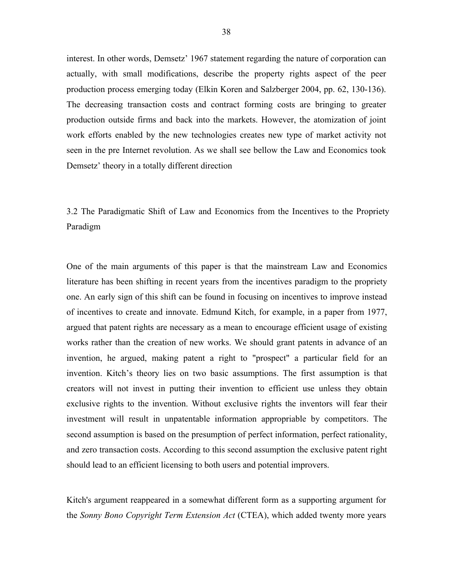interest. In other words, Demsetz' 1967 statement regarding the nature of corporation can actually, with small modifications, describe the property rights aspect of the peer production process emerging today (Elkin Koren and Salzberger 2004, pp. 62, 130-136). The decreasing transaction costs and contract forming costs are bringing to greater production outside firms and back into the markets. However, the atomization of joint work efforts enabled by the new technologies creates new type of market activity not seen in the pre Internet revolution. As we shall see bellow the Law and Economics took Demsetz' theory in a totally different direction

3.2 The Paradigmatic Shift of Law and Economics from the Incentives to the Propriety Paradigm

One of the main arguments of this paper is that the mainstream Law and Economics literature has been shifting in recent years from the incentives paradigm to the propriety one. An early sign of this shift can be found in focusing on incentives to improve instead of incentives to create and innovate. Edmund Kitch, for example, in a paper from 1977, argued that patent rights are necessary as a mean to encourage efficient usage of existing works rather than the creation of new works. We should grant patents in advance of an invention, he argued, making patent a right to "prospect" a particular field for an invention. Kitch's theory lies on two basic assumptions. The first assumption is that creators will not invest in putting their invention to efficient use unless they obtain exclusive rights to the invention. Without exclusive rights the inventors will fear their investment will result in unpatentable information appropriable by competitors. The second assumption is based on the presumption of perfect information, perfect rationality, and zero transaction costs. According to this second assumption the exclusive patent right should lead to an efficient licensing to both users and potential improvers.

Kitch's argument reappeared in a somewhat different form as a supporting argument for the *Sonny Bono Copyright Term Extension Act* (CTEA), which added twenty more years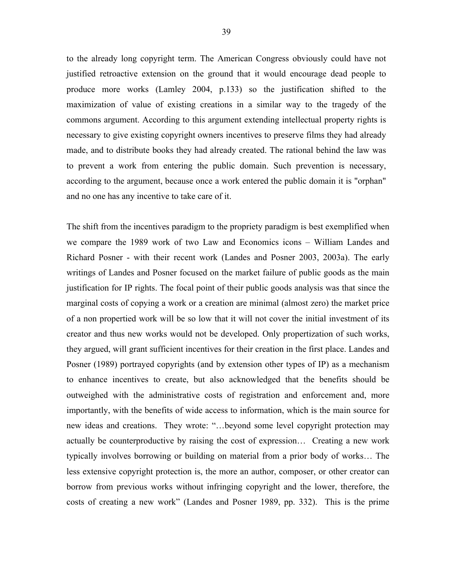to the already long copyright term. The American Congress obviously could have not justified retroactive extension on the ground that it would encourage dead people to produce more works (Lamley 2004, p.133) so the justification shifted to the maximization of value of existing creations in a similar way to the tragedy of the commons argument. According to this argument extending intellectual property rights is necessary to give existing copyright owners incentives to preserve films they had already made, and to distribute books they had already created. The rational behind the law was to prevent a work from entering the public domain. Such prevention is necessary, according to the argument, because once a work entered the public domain it is "orphan" and no one has any incentive to take care of it.

The shift from the incentives paradigm to the propriety paradigm is best exemplified when we compare the 1989 work of two Law and Economics icons – William Landes and Richard Posner - with their recent work (Landes and Posner 2003, 2003a). The early writings of Landes and Posner focused on the market failure of public goods as the main justification for IP rights. The focal point of their public goods analysis was that since the marginal costs of copying a work or a creation are minimal (almost zero) the market price of a non propertied work will be so low that it will not cover the initial investment of its creator and thus new works would not be developed. Only propertization of such works, they argued, will grant sufficient incentives for their creation in the first place. Landes and Posner (1989) portrayed copyrights (and by extension other types of IP) as a mechanism to enhance incentives to create, but also acknowledged that the benefits should be outweighed with the administrative costs of registration and enforcement and, more importantly, with the benefits of wide access to information, which is the main source for new ideas and creations. They wrote: "…beyond some level copyright protection may actually be counterproductive by raising the cost of expression… Creating a new work typically involves borrowing or building on material from a prior body of works… The less extensive copyright protection is, the more an author, composer, or other creator can borrow from previous works without infringing copyright and the lower, therefore, the costs of creating a new work" (Landes and Posner 1989, pp. 332). This is the prime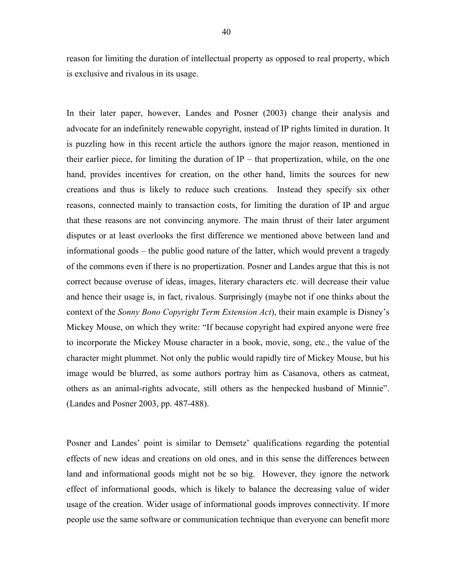reason for limiting the duration of intellectual property as opposed to real property, which is exclusive and rivalous in its usage.

In their later paper, however, Landes and Posner (2003) change their analysis and advocate for an indefinitely renewable copyright, instead of IP rights limited in duration. It is puzzling how in this recent article the authors ignore the major reason, mentioned in their earlier piece, for limiting the duration of IP – that propertization, while, on the one hand, provides incentives for creation, on the other hand, limits the sources for new creations and thus is likely to reduce such creations. Instead they specify six other reasons, connected mainly to transaction costs, for limiting the duration of IP and argue that these reasons are not convincing anymore. The main thrust of their later argument disputes or at least overlooks the first difference we mentioned above between land and informational goods – the public good nature of the latter, which would prevent a tragedy of the commons even if there is no propertization. Posner and Landes argue that this is not correct because overuse of ideas, images, literary characters etc. will decrease their value and hence their usage is, in fact, rivalous. Surprisingly (maybe not if one thinks about the context of the *Sonny Bono Copyright Term Extension Act*), their main example is Disney's Mickey Mouse, on which they write: "If because copyright had expired anyone were free to incorporate the Mickey Mouse character in a book, movie, song, etc., the value of the character might plummet. Not only the public would rapidly tire of Mickey Mouse, but his image would be blurred, as some authors portray him as Casanova, others as catmeat, others as an animal-rights advocate, still others as the henpecked husband of Minnie". (Landes and Posner 2003, pp. 487-488).

Posner and Landes' point is similar to Demsetz' qualifications regarding the potential effects of new ideas and creations on old ones, and in this sense the differences between land and informational goods might not be so big. However, they ignore the network effect of informational goods, which is likely to balance the decreasing value of wider usage of the creation. Wider usage of informational goods improves connectivity. If more people use the same software or communication technique than everyone can benefit more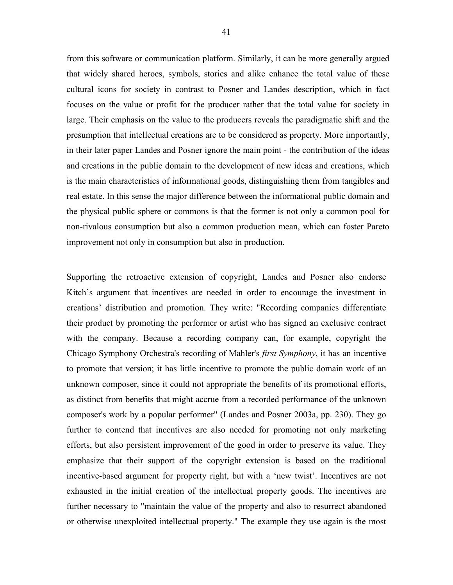from this software or communication platform. Similarly, it can be more generally argued that widely shared heroes, symbols, stories and alike enhance the total value of these cultural icons for society in contrast to Posner and Landes description, which in fact focuses on the value or profit for the producer rather that the total value for society in large. Their emphasis on the value to the producers reveals the paradigmatic shift and the presumption that intellectual creations are to be considered as property. More importantly, in their later paper Landes and Posner ignore the main point - the contribution of the ideas and creations in the public domain to the development of new ideas and creations, which is the main characteristics of informational goods, distinguishing them from tangibles and real estate. In this sense the major difference between the informational public domain and the physical public sphere or commons is that the former is not only a common pool for non-rivalous consumption but also a common production mean, which can foster Pareto improvement not only in consumption but also in production.

Supporting the retroactive extension of copyright, Landes and Posner also endorse Kitch's argument that incentives are needed in order to encourage the investment in creations' distribution and promotion. They write: "Recording companies differentiate their product by promoting the performer or artist who has signed an exclusive contract with the company. Because a recording company can, for example, copyright the Chicago Symphony Orchestra's recording of Mahler's *first Symphony*, it has an incentive to promote that version; it has little incentive to promote the public domain work of an unknown composer, since it could not appropriate the benefits of its promotional efforts, as distinct from benefits that might accrue from a recorded performance of the unknown composer's work by a popular performer" (Landes and Posner 2003a, pp. 230). They go further to contend that incentives are also needed for promoting not only marketing efforts, but also persistent improvement of the good in order to preserve its value. They emphasize that their support of the copyright extension is based on the traditional incentive-based argument for property right, but with a 'new twist'. Incentives are not exhausted in the initial creation of the intellectual property goods. The incentives are further necessary to "maintain the value of the property and also to resurrect abandoned or otherwise unexploited intellectual property." The example they use again is the most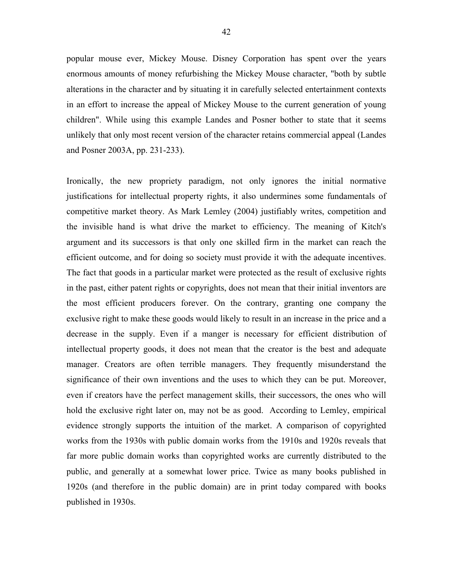popular mouse ever, Mickey Mouse. Disney Corporation has spent over the years enormous amounts of money refurbishing the Mickey Mouse character, "both by subtle alterations in the character and by situating it in carefully selected entertainment contexts in an effort to increase the appeal of Mickey Mouse to the current generation of young children". While using this example Landes and Posner bother to state that it seems unlikely that only most recent version of the character retains commercial appeal (Landes and Posner 2003A, pp. 231-233).

Ironically, the new propriety paradigm, not only ignores the initial normative justifications for intellectual property rights, it also undermines some fundamentals of competitive market theory. As Mark Lemley (2004) justifiably writes, competition and the invisible hand is what drive the market to efficiency. The meaning of Kitch's argument and its successors is that only one skilled firm in the market can reach the efficient outcome, and for doing so society must provide it with the adequate incentives. The fact that goods in a particular market were protected as the result of exclusive rights in the past, either patent rights or copyrights, does not mean that their initial inventors are the most efficient producers forever. On the contrary, granting one company the exclusive right to make these goods would likely to result in an increase in the price and a decrease in the supply. Even if a manger is necessary for efficient distribution of intellectual property goods, it does not mean that the creator is the best and adequate manager. Creators are often terrible managers. They frequently misunderstand the significance of their own inventions and the uses to which they can be put. Moreover, even if creators have the perfect management skills, their successors, the ones who will hold the exclusive right later on, may not be as good. According to Lemley, empirical evidence strongly supports the intuition of the market. A comparison of copyrighted works from the 1930s with public domain works from the 1910s and 1920s reveals that far more public domain works than copyrighted works are currently distributed to the public, and generally at a somewhat lower price. Twice as many books published in 1920s (and therefore in the public domain) are in print today compared with books published in 1930s.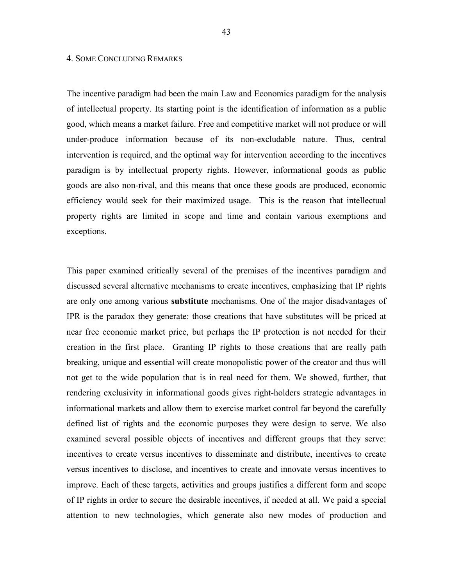#### 4. SOME CONCLUDING REMARKS

The incentive paradigm had been the main Law and Economics paradigm for the analysis of intellectual property. Its starting point is the identification of information as a public good, which means a market failure. Free and competitive market will not produce or will under-produce information because of its non-excludable nature. Thus, central intervention is required, and the optimal way for intervention according to the incentives paradigm is by intellectual property rights. However, informational goods as public goods are also non-rival, and this means that once these goods are produced, economic efficiency would seek for their maximized usage. This is the reason that intellectual property rights are limited in scope and time and contain various exemptions and exceptions.

This paper examined critically several of the premises of the incentives paradigm and discussed several alternative mechanisms to create incentives, emphasizing that IP rights are only one among various **substitute** mechanisms. One of the major disadvantages of IPR is the paradox they generate: those creations that have substitutes will be priced at near free economic market price, but perhaps the IP protection is not needed for their creation in the first place. Granting IP rights to those creations that are really path breaking, unique and essential will create monopolistic power of the creator and thus will not get to the wide population that is in real need for them. We showed, further, that rendering exclusivity in informational goods gives right-holders strategic advantages in informational markets and allow them to exercise market control far beyond the carefully defined list of rights and the economic purposes they were design to serve. We also examined several possible objects of incentives and different groups that they serve: incentives to create versus incentives to disseminate and distribute, incentives to create versus incentives to disclose, and incentives to create and innovate versus incentives to improve. Each of these targets, activities and groups justifies a different form and scope of IP rights in order to secure the desirable incentives, if needed at all. We paid a special attention to new technologies, which generate also new modes of production and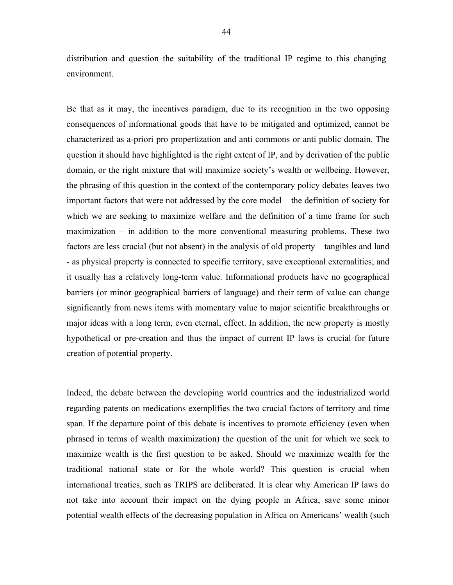distribution and question the suitability of the traditional IP regime to this changing environment.

Be that as it may, the incentives paradigm, due to its recognition in the two opposing consequences of informational goods that have to be mitigated and optimized, cannot be characterized as a-priori pro propertization and anti commons or anti public domain. The question it should have highlighted is the right extent of IP, and by derivation of the public domain, or the right mixture that will maximize society's wealth or wellbeing. However, the phrasing of this question in the context of the contemporary policy debates leaves two important factors that were not addressed by the core model – the definition of society for which we are seeking to maximize welfare and the definition of a time frame for such maximization – in addition to the more conventional measuring problems. These two factors are less crucial (but not absent) in the analysis of old property – tangibles and land - as physical property is connected to specific territory, save exceptional externalities; and it usually has a relatively long-term value. Informational products have no geographical barriers (or minor geographical barriers of language) and their term of value can change significantly from news items with momentary value to major scientific breakthroughs or major ideas with a long term, even eternal, effect. In addition, the new property is mostly hypothetical or pre-creation and thus the impact of current IP laws is crucial for future creation of potential property.

Indeed, the debate between the developing world countries and the industrialized world regarding patents on medications exemplifies the two crucial factors of territory and time span. If the departure point of this debate is incentives to promote efficiency (even when phrased in terms of wealth maximization) the question of the unit for which we seek to maximize wealth is the first question to be asked. Should we maximize wealth for the traditional national state or for the whole world? This question is crucial when international treaties, such as TRIPS are deliberated. It is clear why American IP laws do not take into account their impact on the dying people in Africa, save some minor potential wealth effects of the decreasing population in Africa on Americans' wealth (such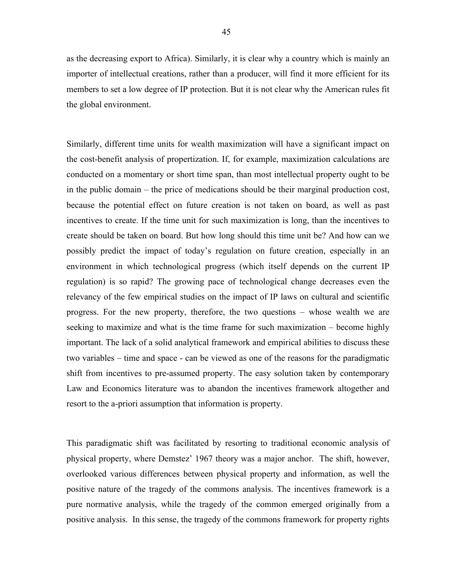as the decreasing export to Africa). Similarly, it is clear why a country which is mainly an importer of intellectual creations, rather than a producer, will find it more efficient for its members to set a low degree of IP protection. But it is not clear why the American rules fit the global environment.

Similarly, different time units for wealth maximization will have a significant impact on the cost-benefit analysis of propertization. If, for example, maximization calculations are conducted on a momentary or short time span, than most intellectual property ought to be in the public domain – the price of medications should be their marginal production cost, because the potential effect on future creation is not taken on board, as well as past incentives to create. If the time unit for such maximization is long, than the incentives to create should be taken on board. But how long should this time unit be? And how can we possibly predict the impact of today's regulation on future creation, especially in an environment in which technological progress (which itself depends on the current IP regulation) is so rapid? The growing pace of technological change decreases even the relevancy of the few empirical studies on the impact of IP laws on cultural and scientific progress. For the new property, therefore, the two questions – whose wealth we are seeking to maximize and what is the time frame for such maximization – become highly important. The lack of a solid analytical framework and empirical abilities to discuss these two variables – time and space - can be viewed as one of the reasons for the paradigmatic shift from incentives to pre-assumed property. The easy solution taken by contemporary Law and Economics literature was to abandon the incentives framework altogether and resort to the a-priori assumption that information is property.

This paradigmatic shift was facilitated by resorting to traditional economic analysis of physical property, where Demstez' 1967 theory was a major anchor. The shift, however, overlooked various differences between physical property and information, as well the positive nature of the tragedy of the commons analysis. The incentives framework is a pure normative analysis, while the tragedy of the common emerged originally from a positive analysis. In this sense, the tragedy of the commons framework for property rights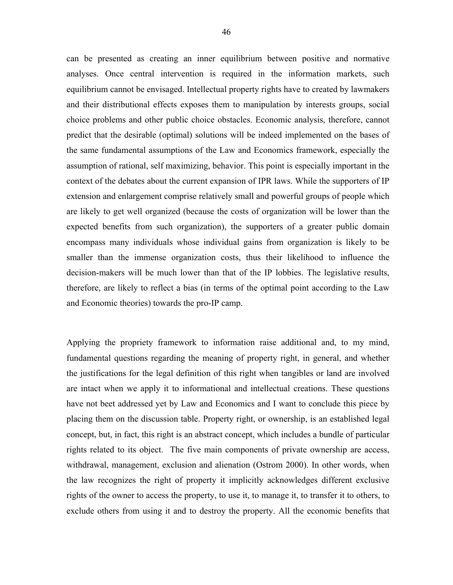can be presented as creating an inner equilibrium between positive and normative analyses. Once central intervention is required in the information markets, such equilibrium cannot be envisaged. Intellectual property rights have to created by lawmakers and their distributional effects exposes them to manipulation by interests groups, social choice problems and other public choice obstacles. Economic analysis, therefore, cannot predict that the desirable (optimal) solutions will be indeed implemented on the bases of the same fundamental assumptions of the Law and Economics framework, especially the assumption of rational, self maximizing, behavior. This point is especially important in the context of the debates about the current expansion of IPR laws. While the supporters of IP extension and enlargement comprise relatively small and powerful groups of people which are likely to get well organized (because the costs of organization will be lower than the expected benefits from such organization), the supporters of a greater public domain encompass many individuals whose individual gains from organization is likely to be smaller than the immense organization costs, thus their likelihood to influence the decision-makers will be much lower than that of the IP lobbies. The legislative results, therefore, are likely to reflect a bias (in terms of the optimal point according to the Law and Economic theories) towards the pro-IP camp.

Applying the propriety framework to information raise additional and, to my mind, fundamental questions regarding the meaning of property right, in general, and whether the justifications for the legal definition of this right when tangibles or land are involved are intact when we apply it to informational and intellectual creations. These questions have not beet addressed yet by Law and Economics and I want to conclude this piece by placing them on the discussion table. Property right, or ownership, is an established legal concept, but, in fact, this right is an abstract concept, which includes a bundle of particular rights related to its object. The five main components of private ownership are access, withdrawal, management, exclusion and alienation (Ostrom 2000). In other words, when the law recognizes the right of property it implicitly acknowledges different exclusive rights of the owner to access the property, to use it, to manage it, to transfer it to others, to exclude others from using it and to destroy the property. All the economic benefits that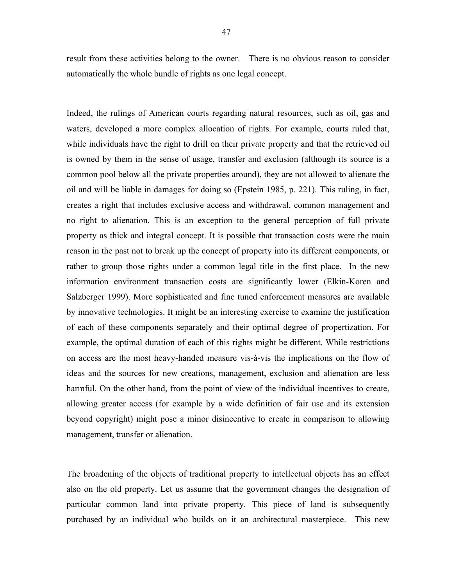result from these activities belong to the owner. There is no obvious reason to consider automatically the whole bundle of rights as one legal concept.

Indeed, the rulings of American courts regarding natural resources, such as oil, gas and waters, developed a more complex allocation of rights. For example, courts ruled that, while individuals have the right to drill on their private property and that the retrieved oil is owned by them in the sense of usage, transfer and exclusion (although its source is a common pool below all the private properties around), they are not allowed to alienate the oil and will be liable in damages for doing so (Epstein 1985, p. 221). This ruling, in fact, creates a right that includes exclusive access and withdrawal, common management and no right to alienation. This is an exception to the general perception of full private property as thick and integral concept. It is possible that transaction costs were the main reason in the past not to break up the concept of property into its different components, or rather to group those rights under a common legal title in the first place. In the new information environment transaction costs are significantly lower (Elkin-Koren and Salzberger 1999). More sophisticated and fine tuned enforcement measures are available by innovative technologies. It might be an interesting exercise to examine the justification of each of these components separately and their optimal degree of propertization. For example, the optimal duration of each of this rights might be different. While restrictions on access are the most heavy-handed measure vis-à-vis the implications on the flow of ideas and the sources for new creations, management, exclusion and alienation are less harmful. On the other hand, from the point of view of the individual incentives to create, allowing greater access (for example by a wide definition of fair use and its extension beyond copyright) might pose a minor disincentive to create in comparison to allowing management, transfer or alienation.

The broadening of the objects of traditional property to intellectual objects has an effect also on the old property. Let us assume that the government changes the designation of particular common land into private property. This piece of land is subsequently purchased by an individual who builds on it an architectural masterpiece. This new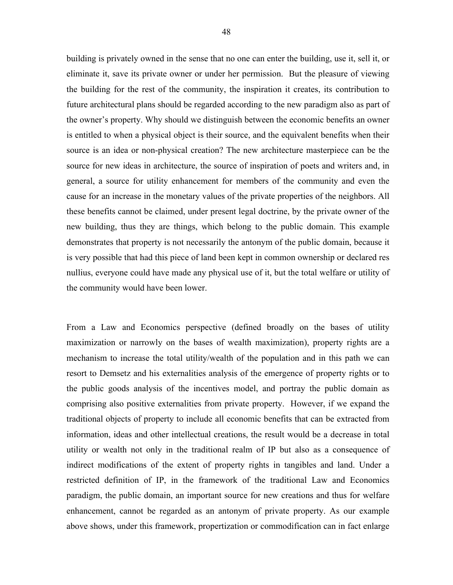building is privately owned in the sense that no one can enter the building, use it, sell it, or eliminate it, save its private owner or under her permission. But the pleasure of viewing the building for the rest of the community, the inspiration it creates, its contribution to future architectural plans should be regarded according to the new paradigm also as part of the owner's property. Why should we distinguish between the economic benefits an owner is entitled to when a physical object is their source, and the equivalent benefits when their source is an idea or non-physical creation? The new architecture masterpiece can be the source for new ideas in architecture, the source of inspiration of poets and writers and, in general, a source for utility enhancement for members of the community and even the cause for an increase in the monetary values of the private properties of the neighbors. All these benefits cannot be claimed, under present legal doctrine, by the private owner of the new building, thus they are things, which belong to the public domain. This example demonstrates that property is not necessarily the antonym of the public domain, because it is very possible that had this piece of land been kept in common ownership or declared res nullius, everyone could have made any physical use of it, but the total welfare or utility of the community would have been lower.

From a Law and Economics perspective (defined broadly on the bases of utility maximization or narrowly on the bases of wealth maximization), property rights are a mechanism to increase the total utility/wealth of the population and in this path we can resort to Demsetz and his externalities analysis of the emergence of property rights or to the public goods analysis of the incentives model, and portray the public domain as comprising also positive externalities from private property. However, if we expand the traditional objects of property to include all economic benefits that can be extracted from information, ideas and other intellectual creations, the result would be a decrease in total utility or wealth not only in the traditional realm of IP but also as a consequence of indirect modifications of the extent of property rights in tangibles and land. Under a restricted definition of IP, in the framework of the traditional Law and Economics paradigm, the public domain, an important source for new creations and thus for welfare enhancement, cannot be regarded as an antonym of private property. As our example above shows, under this framework, propertization or commodification can in fact enlarge